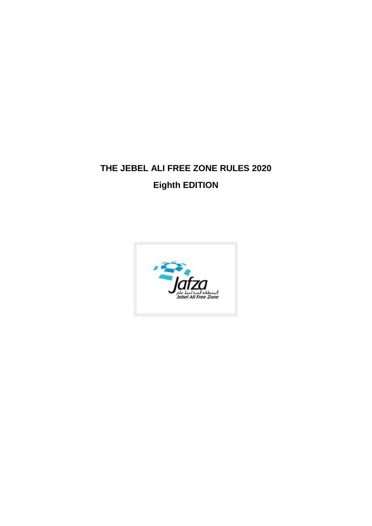# **THE JEBEL ALI FREE ZONE RULES 2020 Eighth EDITION**

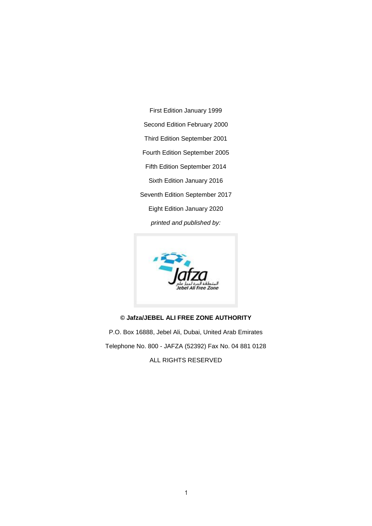First Edition January 1999 Second Edition February 2000 Third Edition September 2001 Fourth Edition September 2005 Fifth Edition September 2014 Sixth Edition January 2016 Seventh Edition September 2017 Eight Edition January 2020 *printed and published by:*



# **© Jafza/JEBEL ALI FREE ZONE AUTHORITY**

P.O. Box 16888, Jebel Ali, Dubai, United Arab Emirates Telephone No. 800 - JAFZA (52392) Fax No. 04 881 0128 ALL RIGHTS RESERVED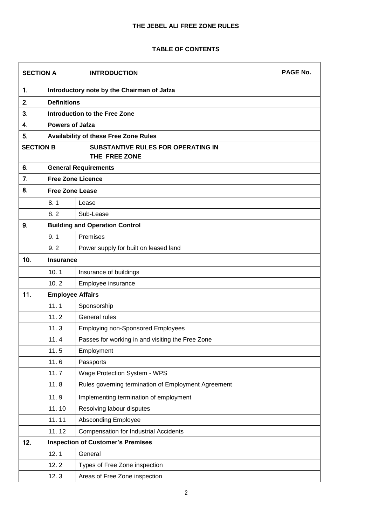# **THE JEBEL ALI FREE ZONE RULES**

# **TABLE OF CONTENTS**

| <b>SECTION A</b><br><b>INTRODUCTION</b> |                                            | <b>PAGE No.</b>                                     |  |
|-----------------------------------------|--------------------------------------------|-----------------------------------------------------|--|
| 1.                                      | Introductory note by the Chairman of Jafza |                                                     |  |
| 2.                                      | <b>Definitions</b>                         |                                                     |  |
| 3.                                      | <b>Introduction to the Free Zone</b>       |                                                     |  |
| 4.                                      | <b>Powers of Jafza</b>                     |                                                     |  |
| 5.                                      |                                            | <b>Availability of these Free Zone Rules</b>        |  |
| <b>SECTION B</b>                        |                                            | <b>SUBSTANTIVE RULES FOR OPERATING IN</b>           |  |
|                                         |                                            | THE FREE ZONE                                       |  |
| 6.                                      |                                            | <b>General Requirements</b>                         |  |
| 7.                                      |                                            | <b>Free Zone Licence</b>                            |  |
| 8.                                      | <b>Free Zone Lease</b>                     |                                                     |  |
|                                         | 8.1                                        | Lease                                               |  |
|                                         | 8.2                                        | Sub-Lease                                           |  |
| 9.                                      |                                            | <b>Building and Operation Control</b>               |  |
|                                         | 9.1                                        | Premises                                            |  |
|                                         | 9.2                                        | Power supply for built on leased land               |  |
| 10.                                     | <b>Insurance</b>                           |                                                     |  |
|                                         | 10.1                                       | Insurance of buildings                              |  |
|                                         | 10.2                                       | Employee insurance                                  |  |
| 11.                                     | <b>Employee Affairs</b>                    |                                                     |  |
|                                         | 11.1                                       | Sponsorship                                         |  |
|                                         | 11.2                                       | General rules                                       |  |
|                                         | 11.3                                       | <b>Employing non-Sponsored Employees</b>            |  |
|                                         | 11.4                                       | Passes for working in and visiting the Free Zone    |  |
|                                         | 11.5                                       | Employment                                          |  |
|                                         | 11.6                                       | Passports                                           |  |
|                                         | 11.7                                       | Wage Protection System - WPS                        |  |
|                                         | 11.8                                       | Rules governing termination of Employment Agreement |  |
|                                         | 11.9                                       | Implementing termination of employment              |  |
|                                         | 11.10                                      | Resolving labour disputes                           |  |
|                                         | 11.11                                      | <b>Absconding Employee</b>                          |  |
|                                         | 11.12                                      | <b>Compensation for Industrial Accidents</b>        |  |
| 12.                                     |                                            | <b>Inspection of Customer's Premises</b>            |  |
|                                         | 12.1                                       | General                                             |  |
|                                         | 12.2                                       | Types of Free Zone inspection                       |  |
|                                         | 12.3                                       | Areas of Free Zone inspection                       |  |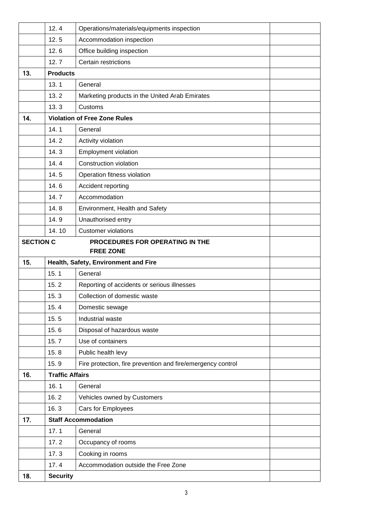|     | 12.4                                                                    | Operations/materials/equipments inspection                  |  |
|-----|-------------------------------------------------------------------------|-------------------------------------------------------------|--|
|     | 12.5                                                                    | Accommodation inspection                                    |  |
|     | 12.6                                                                    | Office building inspection                                  |  |
|     | 12.7                                                                    | Certain restrictions                                        |  |
| 13. | <b>Products</b>                                                         |                                                             |  |
|     | 13.1                                                                    | General                                                     |  |
|     | 13.2                                                                    | Marketing products in the United Arab Emirates              |  |
|     | 13.3                                                                    | Customs                                                     |  |
| 14. |                                                                         | <b>Violation of Free Zone Rules</b>                         |  |
|     | 14.1                                                                    | General                                                     |  |
|     | 14.2                                                                    | Activity violation                                          |  |
|     | 14.3                                                                    | <b>Employment violation</b>                                 |  |
|     | 14.4                                                                    | Construction violation                                      |  |
|     | 14.5                                                                    | Operation fitness violation                                 |  |
|     | 14.6                                                                    | Accident reporting                                          |  |
|     | 14.7                                                                    | Accommodation                                               |  |
|     | 14.8                                                                    | Environment, Health and Safety                              |  |
|     | 14.9                                                                    | Unauthorised entry                                          |  |
|     | 14.10                                                                   | <b>Customer violations</b>                                  |  |
|     | <b>SECTION C</b><br>PROCEDURES FOR OPERATING IN THE<br><b>FREE ZONE</b> |                                                             |  |
| 15. | Health, Safety, Environment and Fire                                    |                                                             |  |
|     | 15.1                                                                    | General                                                     |  |
|     | 15.2                                                                    | Reporting of accidents or serious illnesses                 |  |
|     | 15.3                                                                    | Collection of domestic waste                                |  |
|     | 15.4                                                                    | Domestic sewage                                             |  |
|     | 15.5                                                                    | Industrial waste                                            |  |
|     | 15.6                                                                    | Disposal of hazardous waste                                 |  |
|     | 15.7                                                                    | Use of containers                                           |  |
|     | 15.8                                                                    | Public health levy                                          |  |
|     | 15.9                                                                    | Fire protection, fire prevention and fire/emergency control |  |
| 16. | <b>Traffic Affairs</b>                                                  |                                                             |  |
|     | 16.1                                                                    | General                                                     |  |
|     | 16.2                                                                    | Vehicles owned by Customers                                 |  |
|     | 16.3                                                                    | Cars for Employees                                          |  |
| 17. |                                                                         | <b>Staff Accommodation</b>                                  |  |
|     | 17.1                                                                    | General                                                     |  |
|     | 17.2                                                                    | Occupancy of rooms                                          |  |
|     | 17.3                                                                    | Cooking in rooms                                            |  |
|     | 17.4                                                                    | Accommodation outside the Free Zone                         |  |
| 18. | <b>Security</b>                                                         |                                                             |  |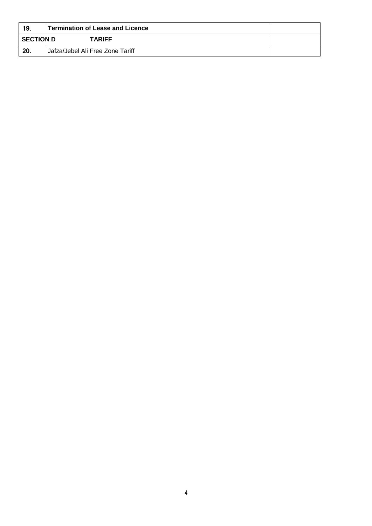| 19.              | <b>Termination of Lease and Licence</b> |  |
|------------------|-----------------------------------------|--|
| <b>SECTION D</b> | <b>TARIFF</b>                           |  |
| 20.              | Jafza/Jebel Ali Free Zone Tariff        |  |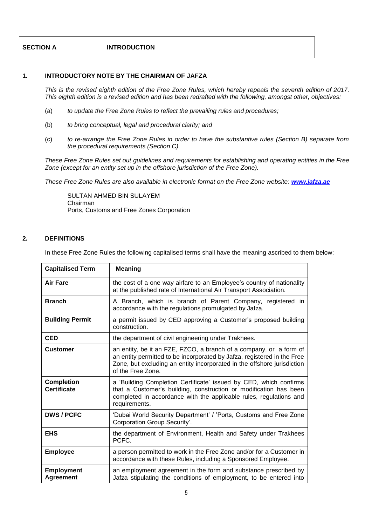| <b>SECTION A</b> | <b>INTRODUCTION</b> |
|------------------|---------------------|
|------------------|---------------------|

# **1. INTRODUCTORY NOTE BY THE CHAIRMAN OF JAFZA**

*This is the revised eighth edition of the Free Zone Rules, which hereby repeals the seventh edition of 2017. This eighth edition is a revised edition and has been redrafted with the following, amongst other, objectives:*

- (a) *to update the Free Zone Rules to reflect the prevailing rules and procedures;*
- (b) *to bring conceptual, legal and procedural clarity; and*
- (c) *to re-arrange the Free Zone Rules in order to have the substantive rules (Section B) separate from the procedural requirements (Section C).*

*These Free Zone Rules set out guidelines and requirements for establishing and operating entities in the Free Zone (except for an entity set up in the offshore jurisdiction of the Free Zone).*

*These Free Zone Rules are also available in electronic format on the Free Zone website: [www.jafza.ae](http://www.jafza.ae/)*

SULTAN AHMED BIN SULAYEM Chairman Ports, Customs and Free Zones Corporation

# **2. DEFINITIONS**

In these Free Zone Rules the following capitalised terms shall have the meaning ascribed to them below:

| <b>Capitalised Term</b>                 | <b>Meaning</b>                                                                                                                                                                                                                                |  |
|-----------------------------------------|-----------------------------------------------------------------------------------------------------------------------------------------------------------------------------------------------------------------------------------------------|--|
| <b>Air Fare</b>                         | the cost of a one way airfare to an Employee's country of nationality<br>at the published rate of International Air Transport Association.                                                                                                    |  |
| <b>Branch</b>                           | A Branch, which is branch of Parent Company, registered in<br>accordance with the regulations promulgated by Jafza.                                                                                                                           |  |
| <b>Building Permit</b>                  | a permit issued by CED approving a Customer's proposed building<br>construction.                                                                                                                                                              |  |
| <b>CED</b>                              | the department of civil engineering under Trakhees.                                                                                                                                                                                           |  |
| <b>Customer</b>                         | an entity, be it an FZE, FZCO, a branch of a company, or a form of<br>an entity permitted to be incorporated by Jafza, registered in the Free<br>Zone, but excluding an entity incorporated in the offshore jurisdiction<br>of the Free Zone. |  |
| <b>Completion</b><br><b>Certificate</b> | a 'Building Completion Certificate' issued by CED, which confirms<br>that a Customer's building, construction or modification has been<br>completed in accordance with the applicable rules, regulations and<br>requirements.                 |  |
| <b>DWS / PCFC</b>                       | 'Dubai World Security Department' / 'Ports, Customs and Free Zone<br>Corporation Group Security'.                                                                                                                                             |  |
| <b>EHS</b>                              | the department of Environment, Health and Safety under Trakhees<br>PCFC.                                                                                                                                                                      |  |
| <b>Employee</b>                         | a person permitted to work in the Free Zone and/or for a Customer in<br>accordance with these Rules, including a Sponsored Employee.                                                                                                          |  |
| <b>Employment</b><br><b>Agreement</b>   | an employment agreement in the form and substance prescribed by<br>Jafza stipulating the conditions of employment, to be entered into                                                                                                         |  |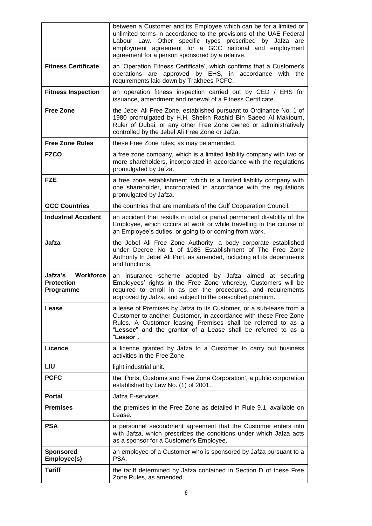|                                                        | between a Customer and its Employee which can be for a limited or<br>unlimited terms in accordance to the provisions of the UAE Federal<br>Labour Law. Other specific types prescribed by Jafza are<br>employment agreement for a GCC national and employment<br>agreement for a person sponsored by a relative. |
|--------------------------------------------------------|------------------------------------------------------------------------------------------------------------------------------------------------------------------------------------------------------------------------------------------------------------------------------------------------------------------|
| <b>Fitness Certificate</b>                             | an 'Operation Fitness Certificate', which confirms that a Customer's<br>operations are approved by EHS, in accordance with the<br>requirements laid down by Trakhees PCFC.                                                                                                                                       |
| <b>Fitness Inspection</b>                              | an operation fitness inspection carried out by CED / EHS for<br>issuance, amendment and renewal of a Fitness Certificate.                                                                                                                                                                                        |
| <b>Free Zone</b>                                       | the Jebel Ali Free Zone, established pursuant to Ordinance No. 1 of<br>1980 promulgated by H.H. Sheikh Rashid Bin Saeed Al Maktoum,<br>Ruler of Dubai, or any other Free Zone owned or administratively<br>controlled by the Jebel Ali Free Zone or Jafza.                                                       |
| <b>Free Zone Rules</b>                                 | these Free Zone rules, as may be amended.                                                                                                                                                                                                                                                                        |
| <b>FZCO</b>                                            | a free zone company, which is a limited liability company with two or<br>more shareholders, incorporated in accordance with the regulations<br>promulgated by Jafza.                                                                                                                                             |
| <b>FZE</b>                                             | a free zone establishment, which is a limited liability company with<br>one shareholder, incorporated in accordance with the regulations<br>promulgated by Jafza.                                                                                                                                                |
| <b>GCC Countries</b>                                   | the countries that are members of the Gulf Cooperation Council.                                                                                                                                                                                                                                                  |
| <b>Industrial Accident</b>                             | an accident that results in total or partial permanent disability of the<br>Employee, which occurs at work or while travelling in the course of<br>an Employee's duties, or going to or coming from work.                                                                                                        |
| Jafza                                                  | the Jebel Ali Free Zone Authority, a body corporate established<br>under Decree No 1 of 1985 Establishment of The Free Zone<br>Authority In Jebel Ali Port, as amended, including all its departments<br>and functions.                                                                                          |
| Workforce<br>Jafza's<br><b>Protection</b><br>Programme | an insurance scheme adopted by Jafza aimed at securing<br>Employees' rights in the Free Zone whereby, Customers will be<br>required to enroll in as per the procedures, and requirements<br>approved by Jafza, and subject to the prescribed premium.                                                            |
| Lease                                                  | a lease of Premises by Jafza to its Customer, or a sub-lease from a<br>Customer to another Customer, in accordance with these Free Zone<br>Rules. A Customer leasing Premises shall be referred to as a<br>"Lessee" and the grantor of a Lease shall be referred to as a<br>"Lessor".                            |
| Licence                                                | a licence granted by Jafza to a Customer to carry out business<br>activities in the Free Zone.                                                                                                                                                                                                                   |
| LIU                                                    | light industrial unit.                                                                                                                                                                                                                                                                                           |
| <b>PCFC</b>                                            | the 'Ports, Customs and Free Zone Corporation', a public corporation<br>established by Law No. (1) of 2001.                                                                                                                                                                                                      |
| <b>Portal</b>                                          | Jafza E-services.                                                                                                                                                                                                                                                                                                |
| <b>Premises</b>                                        | the premises in the Free Zone as detailed in Rule 9.1, available on<br>Lease.                                                                                                                                                                                                                                    |
| <b>PSA</b>                                             | a personnel secondment agreement that the Customer enters into<br>with Jafza, which prescribes the conditions under which Jafza acts<br>as a sponsor for a Customer's Employee.                                                                                                                                  |
| <b>Sponsored</b><br>Employee(s)                        | an employee of a Customer who is sponsored by Jafza pursuant to a<br>PSA.                                                                                                                                                                                                                                        |
| <b>Tariff</b>                                          | the tariff determined by Jafza contained in Section D of these Free<br>Zone Rules, as amended.                                                                                                                                                                                                                   |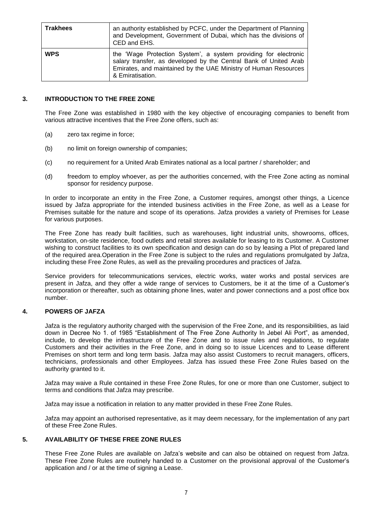| <b>Trakhees</b> | an authority established by PCFC, under the Department of Planning<br>and Development, Government of Dubai, which has the divisions of<br>CED and EHS.                                                                     |
|-----------------|----------------------------------------------------------------------------------------------------------------------------------------------------------------------------------------------------------------------------|
| <b>WPS</b>      | the 'Wage Protection System', a system providing for electronic<br>salary transfer, as developed by the Central Bank of United Arab<br>Emirates, and maintained by the UAE Ministry of Human Resources<br>& Emiratisation. |

# **3. INTRODUCTION TO THE FREE ZONE**

The Free Zone was established in 1980 with the key objective of encouraging companies to benefit from various attractive incentives that the Free Zone offers, such as:

- (a) zero tax regime in force;
- (b) no limit on foreign ownership of companies;
- (c) no requirement for a United Arab Emirates national as a local partner / shareholder; and
- (d) freedom to employ whoever, as per the authorities concerned, with the Free Zone acting as nominal sponsor for residency purpose.

In order to incorporate an entity in the Free Zone, a Customer requires, amongst other things, a Licence issued by Jafza appropriate for the intended business activities in the Free Zone, as well as a Lease for Premises suitable for the nature and scope of its operations. Jafza provides a variety of Premises for Lease for various purposes.

The Free Zone has ready built facilities, such as warehouses, light industrial units, showrooms, offices, workstation, on-site residence, food outlets and retail stores available for leasing to its Customer. A Customer wishing to construct facilities to its own specification and design can do so by leasing a Plot of prepared land of the required area.Operation in the Free Zone is subject to the rules and regulations promulgated by Jafza, including these Free Zone Rules, as well as the prevailing procedures and practices of Jafza.

Service providers for telecommunications services, electric works, water works and postal services are present in Jafza, and they offer a wide range of services to Customers, be it at the time of a Customer's incorporation or thereafter, such as obtaining phone lines, water and power connections and a post office box number.

# **4. POWERS OF JAFZA**

Jafza is the regulatory authority charged with the supervision of the Free Zone, and its responsibilities, as laid down in Decree No 1. of 1985 "Establishment of The Free Zone Authority In Jebel Ali Port", as amended, include, to develop the infrastructure of the Free Zone and to issue rules and regulations, to regulate Customers and their activities in the Free Zone, and in doing so to issue Licences and to Lease different Premises on short term and long term basis. Jafza may also assist Customers to recruit managers, officers, technicians, professionals and other Employees. Jafza has issued these Free Zone Rules based on the authority granted to it.

Jafza may waive a Rule contained in these Free Zone Rules, for one or more than one Customer, subject to terms and conditions that Jafza may prescribe.

Jafza may issue a notification in relation to any matter provided in these Free Zone Rules.

Jafza may appoint an authorised representative, as it may deem necessary, for the implementation of any part of these Free Zone Rules.

# **5. AVAILABILITY OF THESE FREE ZONE RULES**

These Free Zone Rules are available on Jafza's website and can also be obtained on request from Jafza. These Free Zone Rules are routinely handed to a Customer on the provisional approval of the Customer's application and / or at the time of signing a Lease.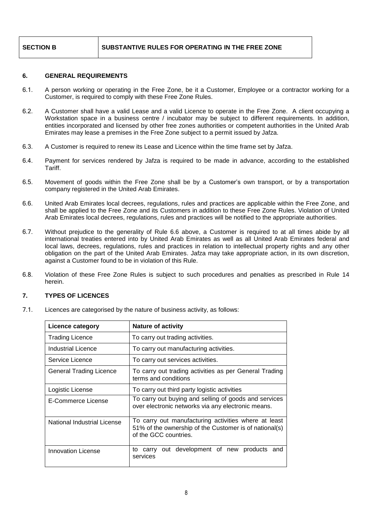# **SECTION B SUBSTANTIVE RULES FOR OPERATING IN THE FREE ZONE**

# **6. GENERAL REQUIREMENTS**

- 6.1. A person working or operating in the Free Zone, be it a Customer, Employee or a contractor working for a Customer, is required to comply with these Free Zone Rules.
- 6.2. A Customer shall have a valid Lease and a valid Licence to operate in the Free Zone. A client occupying a Workstation space in a business centre / incubator may be subject to different requirements. In addition, entities incorporated and licensed by other free zones authorities or competent authorities in the United Arab Emirates may lease a premises in the Free Zone subject to a permit issued by Jafza.
- 6.3. A Customer is required to renew its Lease and Licence within the time frame set by Jafza.
- 6.4. Payment for services rendered by Jafza is required to be made in advance, according to the established Tariff.
- 6.5. Movement of goods within the Free Zone shall be by a Customer's own transport, or by a transportation company registered in the United Arab Emirates.
- 6.6. United Arab Emirates local decrees, regulations, rules and practices are applicable within the Free Zone, and shall be applied to the Free Zone and its Customers in addition to these Free Zone Rules. Violation of United Arab Emirates local decrees, regulations, rules and practices will be notified to the appropriate authorities.
- 6.7. Without prejudice to the generality of Rule 6.6 above, a Customer is required to at all times abide by all international treaties entered into by United Arab Emirates as well as all United Arab Emirates federal and local laws, decrees, regulations, rules and practices in relation to intellectual property rights and any other obligation on the part of the United Arab Emirates. Jafza may take appropriate action, in its own discretion, against a Customer found to be in violation of this Rule.
- 6.8. Violation of these Free Zone Rules is subject to such procedures and penalties as prescribed in Rule 14 herein.

# **7. TYPES OF LICENCES**

7.1. Licences are categorised by the nature of business activity, as follows:

| Licence category            | <b>Nature of activity</b>                                                                                                               |  |
|-----------------------------|-----------------------------------------------------------------------------------------------------------------------------------------|--|
| <b>Trading Licence</b>      | To carry out trading activities.                                                                                                        |  |
| Industrial Licence          | To carry out manufacturing activities.                                                                                                  |  |
| Service Licence             | To carry out services activities.                                                                                                       |  |
| General Trading Licence     | To carry out trading activities as per General Trading<br>terms and conditions                                                          |  |
| Logistic License            | To carry out third party logistic activities                                                                                            |  |
| E-Commerce License          | To carry out buying and selling of goods and services<br>over electronic networks via any electronic means.                             |  |
| National Industrial License | To carry out manufacturing activities where at least<br>51% of the ownership of the Customer is of national(s)<br>of the GCC countries. |  |
| <b>Innovation License</b>   | out development of new products and<br>to carry<br>services                                                                             |  |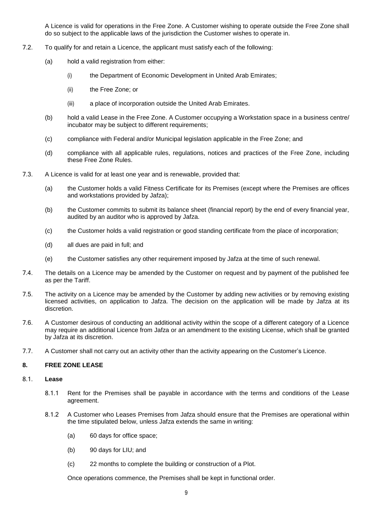A Licence is valid for operations in the Free Zone. A Customer wishing to operate outside the Free Zone shall do so subject to the applicable laws of the jurisdiction the Customer wishes to operate in.

- 7.2. To qualify for and retain a Licence, the applicant must satisfy each of the following:
	- (a) hold a valid registration from either:
		- (i) the Department of Economic Development in United Arab Emirates;
		- (ii) the Free Zone; or
		- (iii) a place of incorporation outside the United Arab Emirates.
	- (b) hold a valid Lease in the Free Zone. A Customer occupying a Workstation space in a business centre/ incubator may be subject to different requirements;
	- (c) compliance with Federal and/or Municipal legislation applicable in the Free Zone; and
	- (d) compliance with all applicable rules, regulations, notices and practices of the Free Zone, including these Free Zone Rules.
- 7.3. A Licence is valid for at least one year and is renewable, provided that:
	- (a) the Customer holds a valid Fitness Certificate for its Premises (except where the Premises are offices and workstations provided by Jafza);
	- (b) the Customer commits to submit its balance sheet (financial report) by the end of every financial year, audited by an auditor who is approved by Jafza.
	- (c) the Customer holds a valid registration or good standing certificate from the place of incorporation;
	- (d) all dues are paid in full; and
	- (e) the Customer satisfies any other requirement imposed by Jafza at the time of such renewal.
- 7.4. The details on a Licence may be amended by the Customer on request and by payment of the published fee as per the Tariff.
- 7.5. The activity on a Licence may be amended by the Customer by adding new activities or by removing existing licensed activities, on application to Jafza. The decision on the application will be made by Jafza at its discretion.
- 7.6. A Customer desirous of conducting an additional activity within the scope of a different category of a Licence may require an additional Licence from Jafza or an amendment to the existing License, which shall be granted by Jafza at its discretion.
- 7.7. A Customer shall not carry out an activity other than the activity appearing on the Customer's Licence.

# **8. FREE ZONE LEASE**

# 8.1. **Lease**

- 8.1.1 Rent for the Premises shall be payable in accordance with the terms and conditions of the Lease agreement.
- 8.1.2 A Customer who Leases Premises from Jafza should ensure that the Premises are operational within the time stipulated below, unless Jafza extends the same in writing:
	- (a) 60 days for office space;
	- (b) 90 days for LIU; and
	- (c) 22 months to complete the building or construction of a Plot.

Once operations commence, the Premises shall be kept in functional order.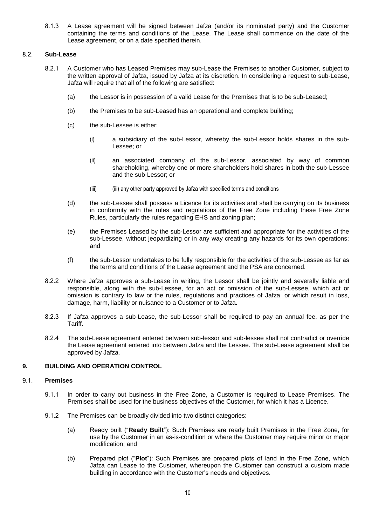8.1.3 A Lease agreement will be signed between Jafza (and/or its nominated party) and the Customer containing the terms and conditions of the Lease. The Lease shall commence on the date of the Lease agreement, or on a date specified therein.

# 8.2. **Sub-Lease**

- 8.2.1 A Customer who has Leased Premises may sub-Lease the Premises to another Customer, subject to the written approval of Jafza, issued by Jafza at its discretion. In considering a request to sub-Lease, Jafza will require that all of the following are satisfied:
	- (a) the Lessor is in possession of a valid Lease for the Premises that is to be sub-Leased;
	- (b) the Premises to be sub-Leased has an operational and complete building;
	- (c) the sub-Lessee is either:
		- (i) a subsidiary of the sub-Lessor, whereby the sub-Lessor holds shares in the sub-Lessee; or
		- (ii) an associated company of the sub-Lessor, associated by way of common shareholding, whereby one or more shareholders hold shares in both the sub-Lessee and the sub-Lessor; or
		- (iii) (iii) any other party approved by Jafza with specified terms and conditions
	- (d) the sub-Lessee shall possess a Licence for its activities and shall be carrying on its business in conformity with the rules and regulations of the Free Zone including these Free Zone Rules, particularly the rules regarding EHS and zoning plan;
	- (e) the Premises Leased by the sub-Lessor are sufficient and appropriate for the activities of the sub-Lessee, without jeopardizing or in any way creating any hazards for its own operations; and
	- (f) the sub-Lessor undertakes to be fully responsible for the activities of the sub-Lessee as far as the terms and conditions of the Lease agreement and the PSA are concerned.
- 8.2.2 Where Jafza approves a sub-Lease in writing, the Lessor shall be jointly and severally liable and responsible, along with the sub-Lessee, for an act or omission of the sub-Lessee, which act or omission is contrary to law or the rules, regulations and practices of Jafza, or which result in loss, damage, harm, liability or nuisance to a Customer or to Jafza.
- 8.2.3 If Jafza approves a sub-Lease, the sub-Lessor shall be required to pay an annual fee, as per the Tariff.
- 8.2.4 The sub-Lease agreement entered between sub-lessor and sub-lessee shall not contradict or override the Lease agreement entered into between Jafza and the Lessee. The sub-Lease agreement shall be approved by Jafza.

# **9. BUILDING AND OPERATION CONTROL**

# 9.1. **Premises**

- 9.1.1 In order to carry out business in the Free Zone, a Customer is required to Lease Premises. The Premises shall be used for the business objectives of the Customer, for which it has a Licence.
- 9.1.2 The Premises can be broadly divided into two distinct categories:
	- (a) Ready built ("**Ready Built**"): Such Premises are ready built Premises in the Free Zone, for use by the Customer in an as-is-condition or where the Customer may require minor or major modification; and
	- (b) Prepared plot ("**Plot**"): Such Premises are prepared plots of land in the Free Zone, which Jafza can Lease to the Customer, whereupon the Customer can construct a custom made building in accordance with the Customer's needs and objectives.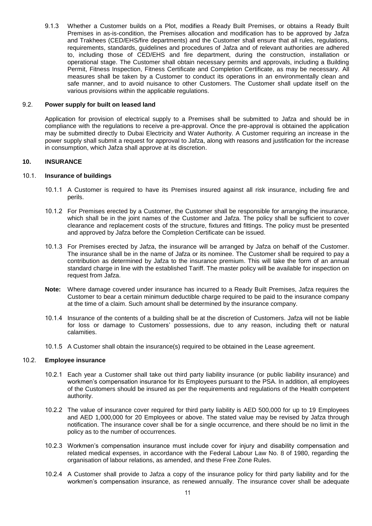9.1.3 Whether a Customer builds on a Plot, modifies a Ready Built Premises, or obtains a Ready Built Premises in as-is-condition, the Premises allocation and modification has to be approved by Jafza and Trakhees (CED/EHS/fire departments) and the Customer shall ensure that all rules, regulations, requirements, standards, guidelines and procedures of Jafza and of relevant authorities are adhered to, including those of CED/EHS and fire department, during the construction, installation or operational stage. The Customer shall obtain necessary permits and approvals, including a Building Permit, Fitness Inspection, Fitness Certificate and Completion Certificate, as may be necessary. All measures shall be taken by a Customer to conduct its operations in an environmentally clean and safe manner, and to avoid nuisance to other Customers. The Customer shall update itself on the various provisions within the applicable regulations.

#### 9.2. **Power supply for built on leased land**

Application for provision of electrical supply to a Premises shall be submitted to Jafza and should be in compliance with the regulations to receive a pre-approval. Once the pre-approval is obtained the application may be submitted directly to Dubai Electricity and Water Authority. A Customer requiring an increase in the power supply shall submit a request for approval to Jafza, along with reasons and justification for the increase in consumption, which Jafza shall approve at its discretion.

# **10. INSURANCE**

# 10.1. **Insurance of buildings**

- 10.1.1 A Customer is required to have its Premises insured against all risk insurance, including fire and perils.
- 10.1.2 For Premises erected by a Customer, the Customer shall be responsible for arranging the insurance, which shall be in the joint names of the Customer and Jafza. The policy shall be sufficient to cover clearance and replacement costs of the structure, fixtures and fittings. The policy must be presented and approved by Jafza before the Completion Certificate can be issued.
- 10.1.3 For Premises erected by Jafza, the insurance will be arranged by Jafza on behalf of the Customer. The insurance shall be in the name of Jafza or its nominee. The Customer shall be required to pay a contribution as determined by Jafza to the insurance premium. This will take the form of an annual standard charge in line with the established Tariff. The master policy will be available for inspection on request from Jafza.
- **Note:** Where damage covered under insurance has incurred to a Ready Built Premises, Jafza requires the Customer to bear a certain minimum deductible charge required to be paid to the insurance company at the time of a claim. Such amount shall be determined by the insurance company.
- 10.1.4 Insurance of the contents of a building shall be at the discretion of Customers. Jafza will not be liable for loss or damage to Customers' possessions, due to any reason, including theft or natural calamities.
- 10.1.5 A Customer shall obtain the insurance(s) required to be obtained in the Lease agreement.

# 10.2. **Employee insurance**

- 10.2.1 Each year a Customer shall take out third party liability insurance (or public liability insurance) and workmen's compensation insurance for its Employees pursuant to the PSA. In addition, all employees of the Customers should be insured as per the requirements and regulations of the Health competent authority.
- 10.2.2 The value of insurance cover required for third party liability is AED 500,000 for up to 19 Employees and AED 1,000,000 for 20 Employees or above. The stated value may be revised by Jafza through notification. The insurance cover shall be for a single occurrence, and there should be no limit in the policy as to the number of occurrences.
- 10.2.3 Workmen's compensation insurance must include cover for injury and disability compensation and related medical expenses, in accordance with the Federal Labour Law No. 8 of 1980, regarding the organisation of labour relations, as amended, and these Free Zone Rules.
- 10.2.4 A Customer shall provide to Jafza a copy of the insurance policy for third party liability and for the workmen's compensation insurance, as renewed annually. The insurance cover shall be adequate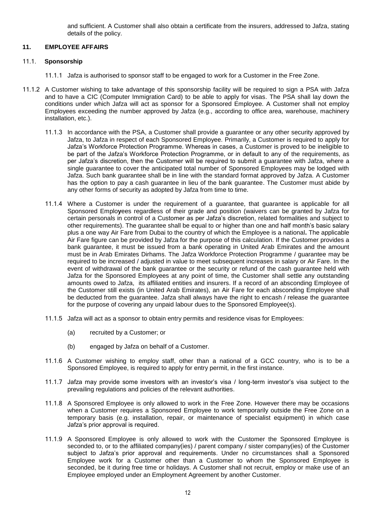and sufficient. A Customer shall also obtain a certificate from the insurers, addressed to Jafza, stating details of the policy.

# **11. EMPLOYEE AFFAIRS**

# 11.1. **Sponsorship**

- 11.1.1 Jafza is authorised to sponsor staff to be engaged to work for a Customer in the Free Zone.
- 11.1.2 A Customer wishing to take advantage of this sponsorship facility will be required to sign a PSA with Jafza and to have a CIC (Computer Immigration Card) to be able to apply for visas. The PSA shall lay down the conditions under which Jafza will act as sponsor for a Sponsored Employee. A Customer shall not employ Employees exceeding the number approved by Jafza (e.g., according to office area, warehouse, machinery installation, etc.).
	- 11.1.3 In accordance with the PSA, a Customer shall provide a guarantee or any other security approved by Jafza, to Jafza in respect of each Sponsored Employee. Primarily, a Customer is required to apply for Jafza's Workforce Protection Programme. Whereas in cases, a Customer is proved to be ineligible to be part of the Jafza's Workforce Protection Programme, or in default to any of the requirements, as per Jafza's discretion, then the Customer will be required to submit a guarantee with Jafza, where a single guarantee to cover the anticipated total number of Sponsored Employees may be lodged with Jafza. Such bank guarantee shall be in line with the standard format approved by Jafza. A Customer has the option to pay a cash guarantee in lieu of the bank guarantee. The Customer must abide by any other forms of security as adopted by Jafza from time to time.
	- 11.1.4 Where a Customer is under the requirement of a guarantee, that guarantee is applicable for all Sponsored Emplo**y**ees regardless of their grade and position (waivers can be granted by Jafza for certain personals in control of a Customer as per Jafza's discretion, related formalities and subject to other requirements). The guarantee shall be equal to or higher than one and half month's basic salary plus a one way Air Fare from Dubai to the country of which the Employee is a national**.** The applicable Air Fare figure can be provided by Jafza for the purpose of this calculation. If the Customer provides a bank guarantee, it must be issued from a bank operating in United Arab Emirates and the amount must be in Arab Emirates Dirhams. The Jafza Workforce Protection Programme / guarantee may be required to be increased / adjusted in value to meet subsequent increases in salary or Air Fare. In the event of withdrawal of the bank guarantee or the security or refund of the cash guarantee held with Jafza for the Sponsored Employees at any point of time, the Customer shall settle any outstanding amounts owed to Jafza, its affiliated entities and insurers. If a record of an absconding Employee of the Customer still exists (in United Arab Emirates), an Air Fare for each absconding Employee shall be deducted from the guarantee. Jafza shall always have the right to encash / release the guarantee for the purpose of covering any unpaid labour dues to the Sponsored Employee(s).
	- 11.1.5 Jafza will act as a sponsor to obtain entry permits and residence visas for Employees:
		- (a) recruited by a Customer; or
		- (b) engaged by Jafza on behalf of a Customer.
	- 11.1.6 A Customer wishing to employ staff, other than a national of a GCC country, who is to be a Sponsored Employee, is required to apply for entry permit, in the first instance.
	- 11.1.7 Jafza may provide some investors with an investor's visa / long-term investor's visa subject to the prevailing regulations and policies of the relevant authorities.
	- 11.1.8 A Sponsored Employee is only allowed to work in the Free Zone. However there may be occasions when a Customer requires a Sponsored Employee to work temporarily outside the Free Zone on a temporary basis (e.g. installation, repair, or maintenance of specialist equipment) in which case Jafza's prior approval is required.
	- 11.1.9 A Sponsored Employee is only allowed to work with the Customer the Sponsored Employee is seconded to, or to the affiliated company(ies) / parent company / sister company(ies) of the Customer subject to Jafza's prior approval and requirements. Under no circumstances shall a Sponsored Employee work for a Customer other than a Customer to whom the Sponsored Employee is seconded, be it during free time or holidays. A Customer shall not recruit, employ or make use of an Employee employed under an Employment Agreement by another Customer.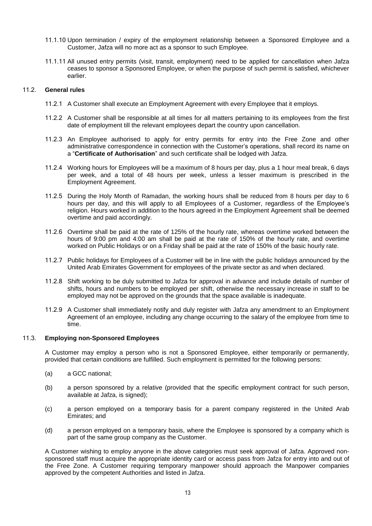- 11.1.10 Upon termination / expiry of the employment relationship between a Sponsored Employee and a Customer, Jafza will no more act as a sponsor to such Employee.
- 11.1.11 All unused entry permits (visit, transit, employment) need to be applied for cancellation when Jafza ceases to sponsor a Sponsored Employee, or when the purpose of such permit is satisfied, whichever earlier.

# 11.2. **General rules**

- 11.2.1 A Customer shall execute an Employment Agreement with every Employee that it employs.
- 11.2.2 A Customer shall be responsible at all times for all matters pertaining to its employees from the first date of employment till the relevant employees depart the country upon cancellation.
- 11.2.3 An Employee authorised to apply for entry permits for entry into the Free Zone and other administrative correspondence in connection with the Customer's operations, shall record its name on a "**Certificate of Authorisation**" and such certificate shall be lodged with Jafza.
- 11.2.4 Working hours for Employees will be a maximum of 8 hours per day, plus a 1 hour meal break, 6 days per week, and a total of 48 hours per week, unless a lesser maximum is prescribed in the Employment Agreement.
- 11.2.5 During the Holy Month of Ramadan, the working hours shall be reduced from 8 hours per day to 6 hours per day, and this will apply to all Employees of a Customer, regardless of the Employee's religion. Hours worked in addition to the hours agreed in the Employment Agreement shall be deemed overtime and paid accordingly.
- 11.2.6 Overtime shall be paid at the rate of 125% of the hourly rate, whereas overtime worked between the hours of 9:00 pm and 4:00 am shall be paid at the rate of 150% of the hourly rate, and overtime worked on Public Holidays or on a Friday shall be paid at the rate of 150% of the basic hourly rate.
- 11.2.7 Public holidays for Employees of a Customer will be in line with the public holidays announced by the United Arab Emirates Government for employees of the private sector as and when declared.
- 11.2.8 Shift working to be duly submitted to Jafza for approval in advance and include details of number of shifts, hours and numbers to be employed per shift, otherwise the necessary increase in staff to be employed may not be approved on the grounds that the space available is inadequate.
- 11.2.9 A Customer shall immediately notify and duly register with Jafza any amendment to an Employment Agreement of an employee, including any change occurring to the salary of the employee from time to time.

#### 11.3. **Employing non-Sponsored Employees**

A Customer may employ a person who is not a Sponsored Employee, either temporarily or permanently, provided that certain conditions are fulfilled. Such employment is permitted for the following persons:

- (a) a GCC national;
- (b) a person sponsored by a relative (provided that the specific employment contract for such person, available at Jafza, is signed);
- (c) a person employed on a temporary basis for a parent company registered in the United Arab Emirates; and
- (d) a person employed on a temporary basis, where the Employee is sponsored by a company which is part of the same group company as the Customer.

A Customer wishing to employ anyone in the above categories must seek approval of Jafza. Approved nonsponsored staff must acquire the appropriate identity card or access pass from Jafza for entry into and out of the Free Zone. A Customer requiring temporary manpower should approach the Manpower companies approved by the competent Authorities and listed in Jafza.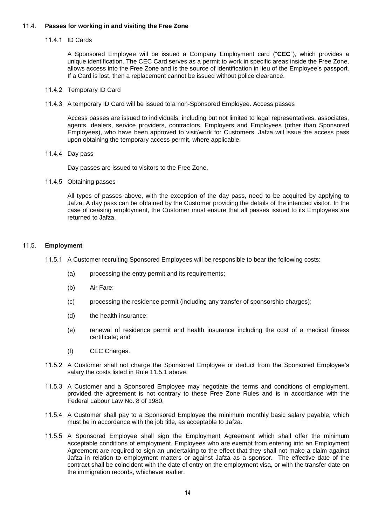# 11.4. **Passes for working in and visiting the Free Zone**

## 11.4.1 ID Cards

A Sponsored Employee will be issued a Company Employment card ("**CEC**"), which provides a unique identification. The CEC Card serves as a permit to work in specific areas inside the Free Zone, allows access into the Free Zone and is the source of identification in lieu of the Employee's passport. If a Card is lost, then a replacement cannot be issued without police clearance.

## 11.4.2 Temporary ID Card

11.4.3 A temporary ID Card will be issued to a non-Sponsored Employee. Access passes

Access passes are issued to individuals; including but not limited to legal representatives, associates, agents, dealers, service providers, contractors, Employers and Employees (other than Sponsored Employees), who have been approved to visit/work for Customers. Jafza will issue the access pass upon obtaining the temporary access permit, where applicable.

11.4.4 Day pass

Day passes are issued to visitors to the Free Zone.

11.4.5 Obtaining passes

All types of passes above, with the exception of the day pass, need to be acquired by applying to Jafza. A day pass can be obtained by the Customer providing the details of the intended visitor. In the case of ceasing employment, the Customer must ensure that all passes issued to its Employees are returned to Jafza.

# 11.5. **Employment**

- 11.5.1 A Customer recruiting Sponsored Employees will be responsible to bear the following costs:
	- (a) processing the entry permit and its requirements;
	- (b) Air Fare;
	- (c) processing the residence permit (including any transfer of sponsorship charges);
	- (d) the health insurance;
	- (e) renewal of residence permit and health insurance including the cost of a medical fitness certificate; and
	- (f) CEC Charges.
- 11.5.2 A Customer shall not charge the Sponsored Employee or deduct from the Sponsored Employee's salary the costs listed in Rule 11.5.1 above.
- 11.5.3 A Customer and a Sponsored Employee may negotiate the terms and conditions of employment, provided the agreement is not contrary to these Free Zone Rules and is in accordance with the Federal Labour Law No. 8 of 1980.
- 11.5.4 A Customer shall pay to a Sponsored Employee the minimum monthly basic salary payable, which must be in accordance with the job title, as acceptable to Jafza.
- 11.5.5 A Sponsored Employee shall sign the Employment Agreement which shall offer the minimum acceptable conditions of employment. Employees who are exempt from entering into an Employment Agreement are required to sign an undertaking to the effect that they shall not make a claim against Jafza in relation to employment matters or against Jafza as a sponsor. The effective date of the contract shall be coincident with the date of entry on the employment visa, or with the transfer date on the immigration records, whichever earlier.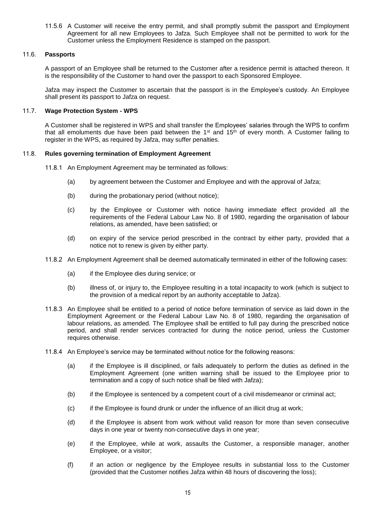11.5.6 A Customer will receive the entry permit, and shall promptly submit the passport and Employment Agreement for all new Employees to Jafza. Such Employee shall not be permitted to work for the Customer unless the Employment Residence is stamped on the passport.

# 11.6. **Passports**

A passport of an Employee shall be returned to the Customer after a residence permit is attached thereon. It is the responsibility of the Customer to hand over the passport to each Sponsored Employee.

Jafza may inspect the Customer to ascertain that the passport is in the Employee's custody. An Employee shall present its passport to Jafza on request.

## 11.7. **Wage Protection System - WPS**

A Customer shall be registered in WPS and shall transfer the Employees' salaries through the WPS to confirm that all emoluments due have been paid between the 1<sup>st</sup> and 15<sup>th</sup> of every month. A Customer failing to register in the WPS, as required by Jafza, may suffer penalties.

# 11.8. **Rules governing termination of Employment Agreement**

- 11.8.1 An Employment Agreement may be terminated as follows:
	- (a) by agreement between the Customer and Employee and with the approval of Jafza;
	- (b) during the probationary period (without notice);
	- (c) by the Employee or Customer with notice having immediate effect provided all the requirements of the Federal Labour Law No. 8 of 1980, regarding the organisation of labour relations, as amended, have been satisfied; or
	- (d) on expiry of the service period prescribed in the contract by either party, provided that a notice not to renew is given by either party.
- 11.8.2 An Employment Agreement shall be deemed automatically terminated in either of the following cases:
	- (a) if the Employee dies during service; or
	- (b) illness of, or injury to, the Employee resulting in a total incapacity to work (which is subject to the provision of a medical report by an authority acceptable to Jafza).
- 11.8.3 An Employee shall be entitled to a period of notice before termination of service as laid down in the Employment Agreement or the Federal Labour Law No. 8 of 1980, regarding the organisation of labour relations, as amended. The Employee shall be entitled to full pay during the prescribed notice period, and shall render services contracted for during the notice period, unless the Customer requires otherwise.
- 11.8.4 An Employee's service may be terminated without notice for the following reasons:
	- (a) if the Employee is ill disciplined, or fails adequately to perform the duties as defined in the Employment Agreement (one written warning shall be issued to the Employee prior to termination and a copy of such notice shall be filed with Jafza);
	- (b) if the Employee is sentenced by a competent court of a civil misdemeanor or criminal act;
	- (c) if the Employee is found drunk or under the influence of an illicit drug at work;
	- (d) if the Employee is absent from work without valid reason for more than seven consecutive days in one year or twenty non-consecutive days in one year;
	- (e) if the Employee, while at work, assaults the Customer, a responsible manager, another Employee, or a visitor;
	- (f) if an action or negligence by the Employee results in substantial loss to the Customer (provided that the Customer notifies Jafza within 48 hours of discovering the loss);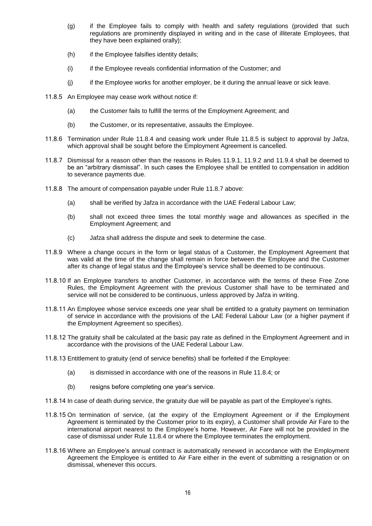- (g) if the Employee fails to comply with health and safety regulations (provided that such regulations are prominently displayed in writing and in the case of illiterate Employees, that they have been explained orally);
- (h) if the Employee falsifies identity details;
- (i) if the Employee reveals confidential information of the Customer; and
- $(i)$  if the Employee works for another employer, be it during the annual leave or sick leave.
- 11.8.5 An Employee may cease work without notice if:
	- (a) the Customer fails to fulfill the terms of the Employment Agreement; and
	- (b) the Customer, or its representative, assaults the Employee.
- 11.8.6 Termination under Rule 11.8.4 and ceasing work under Rule 11.8.5 is subject to approval by Jafza, which approval shall be sought before the Employment Agreement is cancelled.
- 11.8.7 Dismissal for a reason other than the reasons in Rules 11.9.1, 11.9.2 and 11.9.4 shall be deemed to be an "arbitrary dismissal". In such cases the Employee shall be entitled to compensation in addition to severance payments due.
- 11.8.8 The amount of compensation payable under Rule 11.8.7 above:
	- (a) shall be verified by Jafza in accordance with the UAE Federal Labour Law;
	- (b) shall not exceed three times the total monthly wage and allowances as specified in the Employment Agreement; and
	- (c) Jafza shall address the dispute and seek to determine the case.
- 11.8.9 Where a change occurs in the form or legal status of a Customer, the Employment Agreement that was valid at the time of the change shall remain in force between the Employee and the Customer after its change of legal status and the Employee's service shall be deemed to be continuous.
- 11.8.10 If an Employee transfers to another Customer, in accordance with the terms of these Free Zone Rules, the Employment Agreement with the previous Customer shall have to be terminated and service will not be considered to be continuous, unless approved by Jafza in writing.
- 11.8.11 An Employee whose service exceeds one year shall be entitled to a gratuity payment on termination of service in accordance with the provisions of the LAE Federal Labour Law (or a higher payment if the Employment Agreement so specifies).
- 11.8.12 The gratuity shall be calculated at the basic pay rate as defined in the Employment Agreement and in accordance with the provisions of the UAE Federal Labour Law.
- 11.8.13 Entitlement to gratuity (end of service benefits) shall be forfeited if the Employee:
	- (a) is dismissed in accordance with one of the reasons in Rule 11.8.4; or
	- (b) resigns before completing one year's service.
- 11.8.14 In case of death during service, the gratuity due will be payable as part of the Employee's rights.
- 11.8.15 On termination of service, (at the expiry of the Employment Agreement or if the Employment Agreement is terminated by the Customer prior to its expiry), a Customer shall provide Air Fare to the international airport nearest to the Employee's home. However, Air Fare will not be provided in the case of dismissal under Rule 11.8.4 or where the Employee terminates the employment.
- 11.8.16 Where an Employee's annual contract is automatically renewed in accordance with the Employment Agreement the Employee is entitled to Air Fare either in the event of submitting a resignation or on dismissal, whenever this occurs.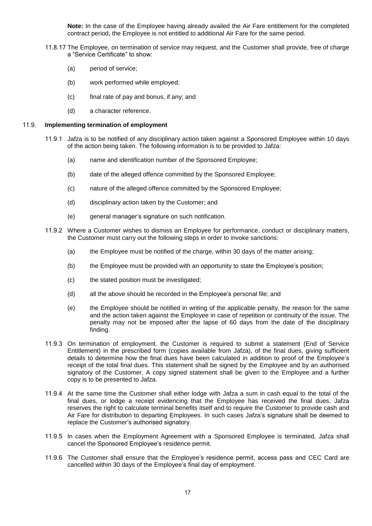**Note:** In the case of the Employee having already availed the Air Fare entitlement for the completed contract period, the Employee is not entitled to additional Air Fare for the same period.

- 11.8.17 The Employee, on termination of service may request, and the Customer shall provide, free of charge a "Service Certificate" to show:
	- (a) period of service:
	- (b) work performed while employed;
	- (c) final rate of pay and bonus, if any; and
	- (d) a character reference.

#### 11.9. **Implementing termination of employment**

- 11.9.1 Jafza is to be notified of any disciplinary action taken against a Sponsored Employee within 10 days of the action being taken. The following information is to be provided to Jafza:
	- (a) name and identification number of the Sponsored Employee;
	- (b) date of the alleged offence committed by the Sponsored Employee;
	- (c) nature of the alleged offence committed by the Sponsored Employee;
	- (d) disciplinary action taken by the Customer; and
	- (e) general manager's signature on such notification.
- 11.9.2 Where a Customer wishes to dismiss an Employee for performance, conduct or disciplinary matters, the Customer must carry out the following steps in order to invoke sanctions:
	- (a) the Employee must be notified of the charge, within 30 days of the matter arising;
	- (b) the Employee must be provided with an opportunity to state the Employee's position;
	- (c) the stated position must be investigated;
	- (d) all the above should be recorded in the Employee's personal file; and
	- (e) the Employee should be notified in writing of the applicable penalty, the reason for the same and the action taken against the Employee in case of repetition or continuity of the issue. The penalty may not be imposed after the lapse of 60 days from the date of the disciplinary finding.
- 11.9.3 On termination of employment, the Customer is required to submit a statement (End of Service Entitlement) in the prescribed form (copies available from Jafza), of the final dues, giving sufficient details to determine how the final dues have been calculated in addition to proof of the Employee's receipt of the total final dues. This statement shall be signed by the Employee and by an authorised signatory of the Customer. A copy signed statement shall be given to the Employee and a further copy is to be presented to Jafza.
- 11.9.4 At the same time the Customer shall either lodge with Jafza a sum in cash equal to the total of the final dues, or lodge a receipt evidencing that the Employee has received the final dues. Jafza reserves the right to calculate terminal benefits itself and to require the Customer to provide cash and Air Fare for distribution to departing Employees. In such cases Jafza's signature shall be deemed to replace the Customer's authorised signatory.
- 11.9.5 In cases when the Employment Agreement with a Sponsored Employee is terminated, Jafza shall cancel the Sponsored Employee's residence permit.
- 11.9.6 The Customer shall ensure that the Employee's residence permit, access pass and CEC Card are cancelled within 30 days of the Employee's final day of employment.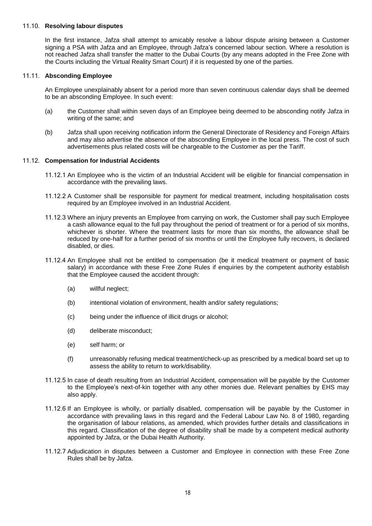## 11.10. **Resolving labour disputes**

In the first instance, Jafza shall attempt to amicably resolve a labour dispute arising between a Customer signing a PSA with Jafza and an Employee, through Jafza's concerned labour section. Where a resolution is not reached Jafza shall transfer the matter to the Dubai Courts (by any means adopted in the Free Zone with the Courts including the Virtual Reality Smart Court) if it is requested by one of the parties.

## 11.11. **Absconding Employee**

An Employee unexplainably absent for a period more than seven continuous calendar days shall be deemed to be an absconding Employee. In such event:

- (a) the Customer shall within seven days of an Employee being deemed to be absconding notify Jafza in writing of the same; and
- (b) Jafza shall upon receiving notification inform the General Directorate of Residency and Foreign Affairs and may also advertise the absence of the absconding Employee in the local press. The cost of such advertisements plus related costs will be chargeable to the Customer as per the Tariff.

# 11.12. **Compensation for Industrial Accidents**

- 11.12.1 An Employee who is the victim of an Industrial Accident will be eligible for financial compensation in accordance with the prevailing laws.
- 11.12.2 A Customer shall be responsible for payment for medical treatment, including hospitalisation costs required by an Employee involved in an Industrial Accident.
- 11.12.3 Where an injury prevents an Employee from carrying on work, the Customer shall pay such Employee a cash allowance equal to the full pay throughout the period of treatment or for a period of six months, whichever is shorter. Where the treatment lasts for more than six months, the allowance shall be reduced by one-half for a further period of six months or until the Employee fully recovers, is declared disabled, or dies.
- 11.12.4 An Employee shall not be entitled to compensation (be it medical treatment or payment of basic salary) in accordance with these Free Zone Rules if enquiries by the competent authority establish that the Employee caused the accident through:
	- (a) willful neglect;
	- (b) intentional violation of environment, health and/or safety regulations;
	- (c) being under the influence of illicit drugs or alcohol;
	- (d) deliberate misconduct;
	- (e) self harm; or
	- (f) unreasonably refusing medical treatment/check-up as prescribed by a medical board set up to assess the ability to return to work/disability.
- 11.12.5 In case of death resulting from an Industrial Accident, compensation will be payable by the Customer to the Employee's next-of-kin together with any other monies due. Relevant penalties by EHS may also apply.
- 11.12.6 If an Employee is wholly, or partially disabled, compensation will be payable by the Customer in accordance with prevailing laws in this regard and the Federal Labour Law No. 8 of 1980, regarding the organisation of labour relations, as amended, which provides further details and classifications in this regard. Classification of the degree of disability shall be made by a competent medical authority appointed by Jafza, or the Dubai Health Authority.
- 11.12.7 Adjudication in disputes between a Customer and Employee in connection with these Free Zone Rules shall be by Jafza.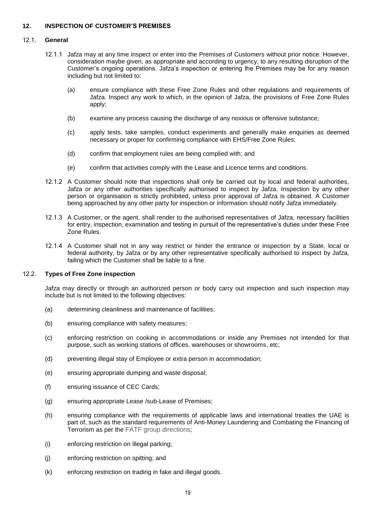# **12. INSPECTION OF CUSTOMER'S PREMISES**

#### 12.1. **General**

- 12.1.1 Jafza may at any time inspect or enter into the Premises of Customers without prior notice. However, consideration maybe given, as appropriate and according to urgency, to any resulting disruption of the Customer's ongoing operations. Jafza's inspection or entering the Premises may be for any reason including but not limited to:
	- (a) ensure compliance with these Free Zone Rules and other regulations and requirements of Jafza. Inspect any work to which, in the opinion of Jafza, the provisions of Free Zone Rules apply;
	- (b) examine any process causing the discharge of any noxious or offensive substance;
	- (c) apply tests, take samples, conduct experiments and generally make enquiries as deemed necessary or proper for confirming compliance with EHS/Free Zone Rules;
	- (d) confirm that employment rules are being complied with; and
	- (e) confirm that activities comply with the Lease and Licence terms and conditions.
- 12.1.2 A Customer should note that inspections shall only be carried out by local and federal authorities, Jafza or any other authorities specifically authorised to inspect by Jafza. Inspection by any other person or organisation is strictly prohibited, unless prior approval of Jafza is obtained. A Customer being approached by any other party for inspection or information should notify Jafza immediately.
- 12.1.3 A Customer, or the agent, shall render to the authorised representatives of Jafza, necessary facilities for entry, inspection, examination and testing in pursuit of the representative's duties under these Free Zone Rules.
- 12.1.4 A Customer shall not in any way restrict or hinder the entrance or inspection by a State, local or federal authority, by Jafza or by any other representative specifically authorised to inspect by Jafza, failing which the Customer shall be liable to a fine.

#### 12.2. **Types of Free Zone inspection**

Jafza may directly or through an authorized person or body carry out inspection and such inspection may include but is not limited to the following objectives:

- (a) determining cleanliness and maintenance of facilities;
- (b) ensuring compliance with safety measures;
- (c) enforcing restriction on cooking in accommodations or inside any Premises not intended for that purpose, such as working stations of offices, warehouses or showrooms, etc;
- (d) preventing illegal stay of Employee or extra person in accommodation;
- (e) ensuring appropriate dumping and waste disposal;
- (f) ensuring issuance of CEC Cards;
- (g) ensuring appropriate Lease /sub-Lease of Premises;
- (h) ensuring compliance with the requirements of applicable laws and international treaties the UAE is part of, such as the standard requirements of Anti-Money Laundering and Combating the Financing of Terrorism as per the FATF group directions;
- (i) enforcing restriction on illegal parking;
- (j) enforcing restriction on spitting; and
- (k) enforcing restriction on trading in fake and illegal goods.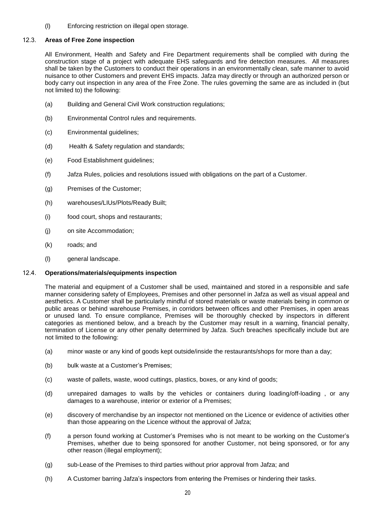(l) Enforcing restriction on illegal open storage.

# 12.3. **Areas of Free Zone inspection**

All Environment, Health and Safety and Fire Department requirements shall be complied with during the construction stage of a project with adequate EHS safeguards and fire detection measures. All measures shall be taken by the Customers to conduct their operations in an environmentally clean, safe manner to avoid nuisance to other Customers and prevent EHS impacts. Jafza may directly or through an authorized person or body carry out inspection in any area of the Free Zone. The rules governing the same are as included in (but not limited to) the following:

- (a) Building and General Civil Work construction regulations;
- (b) Environmental Control rules and requirements.
- (c) Environmental guidelines;
- (d) Health & Safety regulation and standards;
- (e) Food Establishment guidelines;
- (f) Jafza Rules, policies and resolutions issued with obligations on the part of a Customer.
- (g) Premises of the Customer;
- (h) warehouses/LIUs/Plots/Ready Built;
- (i) food court, shops and restaurants;
- (j) on site Accommodation;
- (k) roads; and
- (l) general landscape.

# 12.4. **Operations/materials/equipments inspection**

The material and equipment of a Customer shall be used, maintained and stored in a responsible and safe manner considering safety of Employees, Premises and other personnel in Jafza as well as visual appeal and aesthetics. A Customer shall be particularly mindful of stored materials or waste materials being in common or public areas or behind warehouse Premises, in corridors between offices and other Premises, in open areas or unused land. To ensure compliance, Premises will be thoroughly checked by inspectors in different categories as mentioned below, and a breach by the Customer may result in a warning, financial penalty, termination of License or any other penalty determined by Jafza. Such breaches specifically include but are not limited to the following:

- (a) minor waste or any kind of goods kept outside/inside the restaurants/shops for more than a day;
- (b) bulk waste at a Customer's Premises;
- (c) waste of pallets, waste, wood cuttings, plastics, boxes, or any kind of goods;
- (d) unrepaired damages to walls by the vehicles or containers during loading/off-loading , or any damages to a warehouse, interior or exterior of a Premises;
- (e) discovery of merchandise by an inspector not mentioned on the Licence or evidence of activities other than those appearing on the Licence without the approval of Jafza;
- (f) a person found working at Customer's Premises who is not meant to be working on the Customer's Premises, whether due to being sponsored for another Customer, not being sponsored, or for any other reason (illegal employment);
- (g) sub-Lease of the Premises to third parties without prior approval from Jafza; and
- (h) A Customer barring Jafza's inspectors from entering the Premises or hindering their tasks.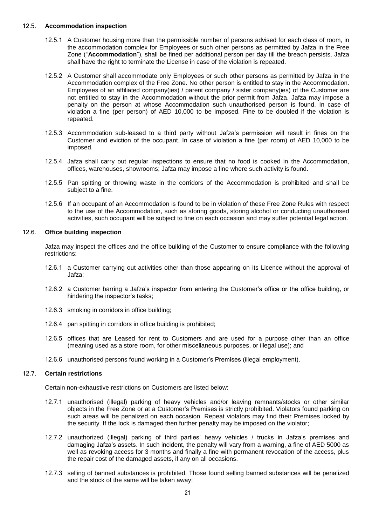## 12.5. **Accommodation inspection**

- 12.5.1 A Customer housing more than the permissible number of persons advised for each class of room, in the accommodation complex for Employees or such other persons as permitted by Jafza in the Free Zone ("**Accommodation**"), shall be fined per additional person per day till the breach persists. Jafza shall have the right to terminate the License in case of the violation is repeated.
- 12.5.2 A Customer shall accommodate only Employees or such other persons as permitted by Jafza in the Accommodation complex of the Free Zone. No other person is entitled to stay in the Accommodation. Employees of an affiliated company(ies) / parent company / sister company(ies) of the Customer are not entitled to stay in the Accommodation without the prior permit from Jafza. Jafza may impose a penalty on the person at whose Accommodation such unauthorised person is found. In case of violation a fine (per person) of AED 10,000 to be imposed. Fine to be doubled if the violation is repeated.
- 12.5.3 Accommodation sub-leased to a third party without Jafza's permission will result in fines on the Customer and eviction of the occupant. In case of violation a fine (per room) of AED 10,000 to be imposed.
- 12.5.4 Jafza shall carry out regular inspections to ensure that no food is cooked in the Accommodation, offices, warehouses, showrooms; Jafza may impose a fine where such activity is found.
- 12.5.5 Pan spitting or throwing waste in the corridors of the Accommodation is prohibited and shall be subject to a fine.
- 12.5.6 If an occupant of an Accommodation is found to be in violation of these Free Zone Rules with respect to the use of the Accommodation, such as storing goods, storing alcohol or conducting unauthorised activities, such occupant will be subject to fine on each occasion and may suffer potential legal action.

# 12.6. **Office building inspection**

Jafza may inspect the offices and the office building of the Customer to ensure compliance with the following restrictions:

- 12.6.1 a Customer carrying out activities other than those appearing on its Licence without the approval of Jafza;
- 12.6.2 a Customer barring a Jafza's inspector from entering the Customer's office or the office building, or hindering the inspector's tasks;
- 12.6.3 smoking in corridors in office building;
- 12.6.4 pan spitting in corridors in office building is prohibited;
- 12.6.5 offices that are Leased for rent to Customers and are used for a purpose other than an office (meaning used as a store room, for other miscellaneous purposes, or illegal use); and
- 12.6.6 unauthorised persons found working in a Customer's Premises (illegal employment).

# 12.7. **Certain restrictions**

Certain non-exhaustive restrictions on Customers are listed below:

- 12.7.1 unauthorised (illegal) parking of heavy vehicles and/or leaving remnants/stocks or other similar objects in the Free Zone or at a Customer's Premises is strictly prohibited. Violators found parking on such areas will be penalized on each occasion. Repeat violators may find their Premises locked by the security. If the lock is damaged then further penalty may be imposed on the violator;
- 12.7.2 unauthorized (illegal) parking of third parties' heavy vehicles / trucks in Jafza's premises and damaging Jafza's assets. In such incident, the penalty will vary from a warning, a fine of AED 5000 as well as revoking access for 3 months and finally a fine with permanent revocation of the access, plus the repair cost of the damaged assets, if any on all occasions.
- 12.7.3 selling of banned substances is prohibited. Those found selling banned substances will be penalized and the stock of the same will be taken away;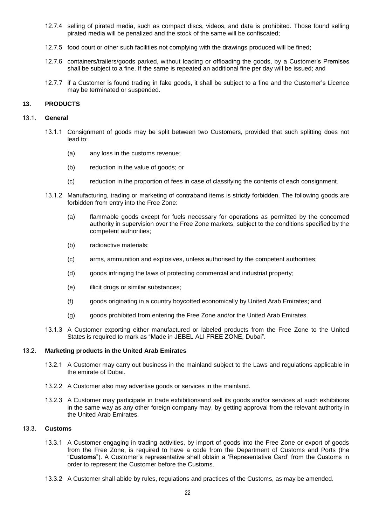- 12.7.4 selling of pirated media, such as compact discs, videos, and data is prohibited. Those found selling pirated media will be penalized and the stock of the same will be confiscated;
- 12.7.5 food court or other such facilities not complying with the drawings produced will be fined;
- 12.7.6 containers/trailers/goods parked, without loading or offloading the goods, by a Customer's Premises shall be subject to a fine. If the same is repeated an additional fine per day will be issued; and
- 12.7.7 if a Customer is found trading in fake goods, it shall be subject to a fine and the Customer's Licence may be terminated or suspended.

# **13. PRODUCTS**

#### 13.1. **General**

- 13.1.1 Consignment of goods may be split between two Customers, provided that such splitting does not lead to:
	- (a) any loss in the customs revenue;
	- (b) reduction in the value of goods; or
	- (c) reduction in the proportion of fees in case of classifying the contents of each consignment.
- 13.1.2 Manufacturing, trading or marketing of contraband items is strictly forbidden. The following goods are forbidden from entry into the Free Zone:
	- (a) flammable goods except for fuels necessary for operations as permitted by the concerned authority in supervision over the Free Zone markets, subject to the conditions specified by the competent authorities;
	- (b) radioactive materials;
	- (c) arms, ammunition and explosives, unless authorised by the competent authorities;
	- (d) goods infringing the laws of protecting commercial and industrial property;
	- (e) illicit drugs or similar substances;
	- (f) goods originating in a country boycotted economically by United Arab Emirates; and
	- (g) goods prohibited from entering the Free Zone and/or the United Arab Emirates.
- 13.1.3 A Customer exporting either manufactured or labeled products from the Free Zone to the United States is required to mark as "Made in JEBEL ALI FREE ZONE, Dubai".

#### 13.2. **Marketing products in the United Arab Emirates**

- 13.2.1 A Customer may carry out business in the mainland subject to the Laws and regulations applicable in the emirate of Dubai.
- 13.2.2 A Customer also may advertise goods or services in the mainland.
- 13.2.3 A Customer may participate in trade exhibitionsand sell its goods and/or services at such exhibitions in the same way as any other foreign company may, by getting approval from the relevant authority in the United Arab Emirates.

# 13.3. **Customs**

- 13.3.1 A Customer engaging in trading activities, by import of goods into the Free Zone or export of goods from the Free Zone, is required to have a code from the Department of Customs and Ports (the "**Customs**"). A Customer's representative shall obtain a 'Representative Card' from the Customs in order to represent the Customer before the Customs.
- 13.3.2 A Customer shall abide by rules, regulations and practices of the Customs, as may be amended.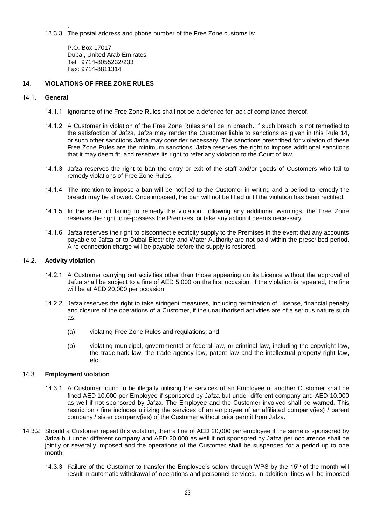. 13.3.3 The postal address and phone number of the Free Zone customs is:

> P.O. Box 17017 Dubai, United Arab Emirates Tel: 9714-8055232/233 Fax: 9714-8811314

# **14. VIOLATIONS OF FREE ZONE RULES**

# 14.1. **General**

- 14.1.1 Ignorance of the Free Zone Rules shall not be a defence for lack of compliance thereof.
- 14.1.2 A Customer in violation of the Free Zone Rules shall be in breach. If such breach is not remedied to the satisfaction of Jafza, Jafza may render the Customer liable to sanctions as given in this Rule 14, or such other sanctions Jafza may consider necessary. The sanctions prescribed for violation of these Free Zone Rules are the minimum sanctions. Jafza reserves the right to impose additional sanctions that it may deem fit, and reserves its right to refer any violation to the Court of law.
- 14.1.3 Jafza reserves the right to ban the entry or exit of the staff and/or goods of Customers who fail to remedy violations of Free Zone Rules.
- 14.1.4 The intention to impose a ban will be notified to the Customer in writing and a period to remedy the breach may be allowed. Once imposed, the ban will not be lifted until the violation has been rectified.
- 14.1.5 In the event of failing to remedy the violation, following any additional warnings, the Free Zone reserves the right to re-possess the Premises, or take any action it deems necessary.
- 14.1.6 Jafza reserves the right to disconnect electricity supply to the Premises in the event that any accounts payable to Jafza or to Dubai Electricity and Water Authority are not paid within the prescribed period. A re-connection charge will be payable before the supply is restored.

## 14.2. **Activity violation**

- 14.2.1 A Customer carrying out activities other than those appearing on its Licence without the approval of Jafza shall be subject to a fine of AED 5,000 on the first occasion. If the violation is repeated, the fine will be at AED 20,000 per occasion.
- 14.2.2 Jafza reserves the right to take stringent measures, including termination of License, financial penalty and closure of the operations of a Customer, if the unauthorised activities are of a serious nature such as:
	- (a) violating Free Zone Rules and regulations; and
	- (b) violating municipal, governmental or federal law, or criminal law, including the copyright law, the trademark law, the trade agency law, patent law and the intellectual property right law, etc.

# 14.3. **Employment violation**

- 14.3.1 A Customer found to be illegally utilising the services of an Employee of another Customer shall be fined AED 10,000 per Employee if sponsored by Jafza but under different company and AED 10.000 as well if not sponsored by Jafza. The Employee and the Customer involved shall be warned. This restriction / fine includes utilizing the services of an employee of an affiliated company(ies) / parent company / sister company(ies) of the Customer without prior permit from Jafza.
- 14.3.2 Should a Customer repeat this violation, then a fine of AED 20,000 per employee if the same is sponsored by Jafza but under different company and AED 20,000 as well if not sponsored by Jafza per occurrence shall be jointly or severally imposed and the operations of the Customer shall be suspended for a period up to one month.
	- 14.3.3 Failure of the Customer to transfer the Employee's salary through WPS by the 15<sup>th</sup> of the month will result in automatic withdrawal of operations and personnel services. In addition, fines will be imposed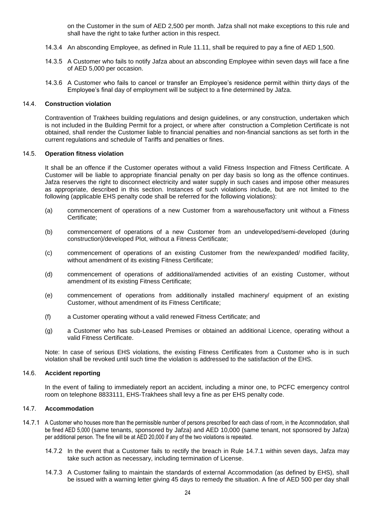on the Customer in the sum of AED 2,500 per month. Jafza shall not make exceptions to this rule and shall have the right to take further action in this respect.

- 14.3.4 An absconding Employee, as defined in Rule 11.11, shall be required to pay a fine of AED 1,500.
- 14.3.5 A Customer who fails to notify Jafza about an absconding Employee within seven days will face a fine of AED 5,000 per occasion.
- 14.3.6 A Customer who fails to cancel or transfer an Employee's residence permit within thirty days of the Employee's final day of employment will be subject to a fine determined by Jafza.

#### 14.4. **Construction violation**

Contravention of Trakhees building regulations and design guidelines, or any construction, undertaken which is not included in the Building Permit for a project, or where after construction a Completion Certificate is not obtained, shall render the Customer liable to financial penalties and non-financial sanctions as set forth in the current regulations and schedule of Tariffs and penalties or fines.

## 14.5. **Operation fitness violation**

It shall be an offence if the Customer operates without a valid Fitness Inspection and Fitness Certificate. A Customer will be liable to appropriate financial penalty on per day basis so long as the offence continues. Jafza reserves the right to disconnect electricity and water supply in such cases and impose other measures as appropriate, described in this section. Instances of such violations include, but are not limited to the following (applicable EHS penalty code shall be referred for the following violations):

- (a) commencement of operations of a new Customer from a warehouse/factory unit without a Fitness Certificate;
- (b) commencement of operations of a new Customer from an undeveloped/semi-developed (during construction)/developed Plot, without a Fitness Certificate;
- (c) commencement of operations of an existing Customer from the new/expanded/ modified facility, without amendment of its existing Fitness Certificate;
- (d) commencement of operations of additional/amended activities of an existing Customer, without amendment of its existing Fitness Certificate;
- (e) commencement of operations from additionally installed machinery/ equipment of an existing Customer, without amendment of its Fitness Certificate;
- (f) a Customer operating without a valid renewed Fitness Certificate; and
- (g) a Customer who has sub-Leased Premises or obtained an additional Licence, operating without a valid Fitness Certificate.

Note: In case of serious EHS violations, the existing Fitness Certificates from a Customer who is in such violation shall be revoked until such time the violation is addressed to the satisfaction of the EHS.

#### 14.6. **Accident reporting**

In the event of failing to immediately report an accident, including a minor one, to PCFC emergency control room on telephone 8833111, EHS-Trakhees shall levy a fine as per EHS penalty code.

## 14.7. **Accommodation**

- 14.7.1 A Customer who houses more than the permissible number of persons prescribed for each class of room, in the Accommodation, shall be fined AED 5,000 (same tenants, sponsored by Jafza) and AED 10,000 (same tenant, not sponsored by Jafza) per additional person. The fine will be at AED 20,000 if any of the two violations is repeated.
	- 14.7.2 In the event that a Customer fails to rectify the breach in Rule 14.7.1 within seven days, Jafza may take such action as necessary, including termination of License.
	- 14.7.3 A Customer failing to maintain the standards of external Accommodation (as defined by EHS), shall be issued with a warning letter giving 45 days to remedy the situation. A fine of AED 500 per day shall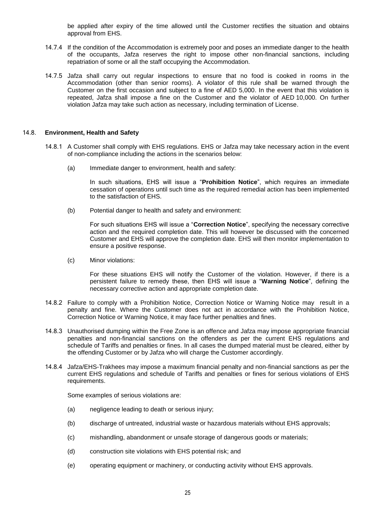be applied after expiry of the time allowed until the Customer rectifies the situation and obtains approval from EHS.

- 14.7.4 If the condition of the Accommodation is extremely poor and poses an immediate danger to the health of the occupants, Jafza reserves the right to impose other non-financial sanctions, including repatriation of some or all the staff occupying the Accommodation.
- 14.7.5 Jafza shall carry out regular inspections to ensure that no food is cooked in rooms in the Accommodation (other than senior rooms). A violator of this rule shall be warned through the Customer on the first occasion and subject to a fine of AED 5,000. In the event that this violation is repeated, Jafza shall impose a fine on the Customer and the violator of AED 10,000. On further violation Jafza may take such action as necessary, including termination of License.

#### 14.8. **Environment, Health and Safety**

- 14.8.1 A Customer shall comply with EHS regulations. EHS or Jafza may take necessary action in the event of non-compliance including the actions in the scenarios below:
	- (a) Immediate danger to environment, health and safety:

In such situations, EHS will issue a "**Prohibition Notice**", which requires an immediate cessation of operations until such time as the required remedial action has been implemented to the satisfaction of EHS.

(b) Potential danger to health and safety and environment:

For such situations EHS will issue a "**Correction Notice**", specifying the necessary corrective action and the required completion date. This will however be discussed with the concerned Customer and EHS will approve the completion date. EHS will then monitor implementation to ensure a positive response.

(c) Minor violations:

For these situations EHS will notify the Customer of the violation. However, if there is a persistent failure to remedy these, then EHS will issue a "**Warning Notice**", defining the necessary corrective action and appropriate completion date.

- 14.8.2 Failure to comply with a Prohibition Notice, Correction Notice or Warning Notice may result in a penalty and fine. Where the Customer does not act in accordance with the Prohibition Notice, Correction Notice or Warning Notice, it may face further penalties and fines.
- 14.8.3 Unauthorised dumping within the Free Zone is an offence and Jafza may impose appropriate financial penalties and non-financial sanctions on the offenders as per the current EHS regulations and schedule of Tariffs and penalties or fines. In all cases the dumped material must be cleared, either by the offending Customer or by Jafza who will charge the Customer accordingly.
- 14.8.4 Jafza/EHS-Trakhees may impose a maximum financial penalty and non-financial sanctions as per the current EHS regulations and schedule of Tariffs and penalties or fines for serious violations of EHS requirements.

Some examples of serious violations are:

- (a) negligence leading to death or serious injury;
- (b) discharge of untreated, industrial waste or hazardous materials without EHS approvals;
- (c) mishandling, abandonment or unsafe storage of dangerous goods or materials;
- (d) construction site violations with EHS potential risk; and
- (e) operating equipment or machinery, or conducting activity without EHS approvals.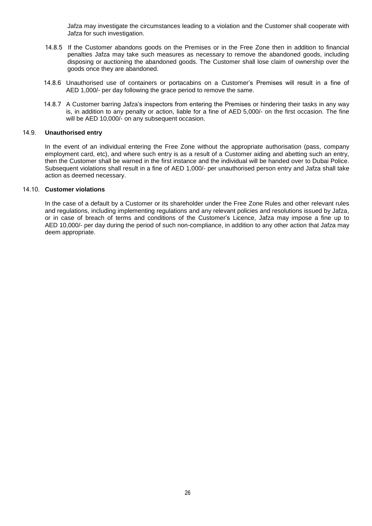Jafza may investigate the circumstances leading to a violation and the Customer shall cooperate with Jafza for such investigation.

- 14.8.5 If the Customer abandons goods on the Premises or in the Free Zone then in addition to financial penalties Jafza may take such measures as necessary to remove the abandoned goods, including disposing or auctioning the abandoned goods. The Customer shall lose claim of ownership over the goods once they are abandoned.
- 14.8.6 Unauthorised use of containers or portacabins on a Customer's Premises will result in a fine of AED 1,000/- per day following the grace period to remove the same.
- 14.8.7 A Customer barring Jafza's inspectors from entering the Premises or hindering their tasks in any way is, in addition to any penalty or action, liable for a fine of AED 5,000/- on the first occasion. The fine will be AED 10,000/- on any subsequent occasion.

## 14.9. **Unauthorised entry**

In the event of an individual entering the Free Zone without the appropriate authorisation (pass, company employment card, etc), and where such entry is as a result of a Customer aiding and abetting such an entry, then the Customer shall be warned in the first instance and the individual will be handed over to Dubai Police. Subsequent violations shall result in a fine of AED 1,000/- per unauthorised person entry and Jafza shall take action as deemed necessary.

# 14.10. **Customer violations**

In the case of a default by a Customer or its shareholder under the Free Zone Rules and other relevant rules and regulations, including implementing regulations and any relevant policies and resolutions issued by Jafza, or in case of breach of terms and conditions of the Customer's Licence, Jafza may impose a fine up to AED 10,000/- per day during the period of such non-compliance, in addition to any other action that Jafza may deem appropriate.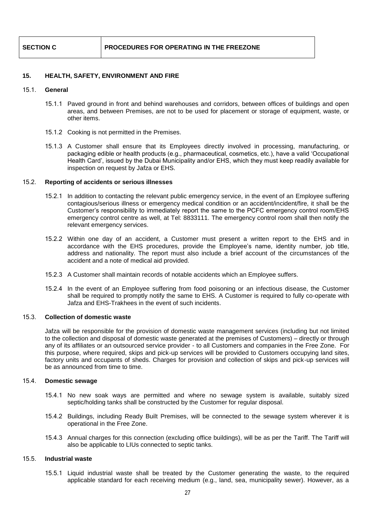# **15. HEALTH, SAFETY, ENVIRONMENT AND FIRE**

#### 15.1. **General**

- 15.1.1 Paved ground in front and behind warehouses and corridors, between offices of buildings and open areas, and between Premises, are not to be used for placement or storage of equipment, waste, or other items.
- 15.1.2 Cooking is not permitted in the Premises.
- 15.1.3 A Customer shall ensure that its Employees directly involved in processing, manufacturing, or packaging edible or health products (e.g., pharmaceutical, cosmetics, etc.), have a valid 'Occupational Health Card', issued by the Dubai Municipality and/or EHS, which they must keep readily available for inspection on request by Jafza or EHS.

## 15.2. **Reporting of accidents or serious illnesses**

- 15.2.1 In addition to contacting the relevant public emergency service, in the event of an Employee suffering contagious/serious illness or emergency medical condition or an accident/incident/fire, it shall be the Customer's responsibility to immediately report the same to the PCFC emergency control room/EHS emergency control centre as well, at Tel: 8833111. The emergency control room shall then notify the relevant emergency services.
- 15.2.2 Within one day of an accident, a Customer must present a written report to the EHS and in accordance with the EHS procedures, provide the Employee's name, identity number, job title, address and nationality. The report must also include a brief account of the circumstances of the accident and a note of medical aid provided.
- 15.2.3 A Customer shall maintain records of notable accidents which an Employee suffers.
- 15.2.4 In the event of an Employee suffering from food poisoning or an infectious disease, the Customer shall be required to promptly notify the same to EHS. A Customer is required to fully co-operate with Jafza and EHS-Trakhees in the event of such incidents.

#### 15.3. **Collection of domestic waste**

Jafza will be responsible for the provision of domestic waste management services (including but not limited to the collection and disposal of domestic waste generated at the premises of Customers) – directly or through any of its affiliates or an outsourced service provider - to all Customers and companies in the Free Zone. For this purpose, where required, skips and pick-up services will be provided to Customers occupying land sites, factory units and occupants of sheds. Charges for provision and collection of skips and pick-up services will be as announced from time to time.

#### 15.4. **Domestic sewage**

- 15.4.1 No new soak ways are permitted and where no sewage system is available, suitably sized septic/holding tanks shall be constructed by the Customer for regular disposal.
- 15.4.2 Buildings, including Ready Built Premises, will be connected to the sewage system wherever it is operational in the Free Zone.
- 15.4.3 Annual charges for this connection (excluding office buildings), will be as per the Tariff. The Tariff will also be applicable to LIUs connected to septic tanks.

## 15.5. **Industrial waste**

15.5.1 Liquid industrial waste shall be treated by the Customer generating the waste, to the required applicable standard for each receiving medium (e.g., land, sea, municipality sewer). However, as a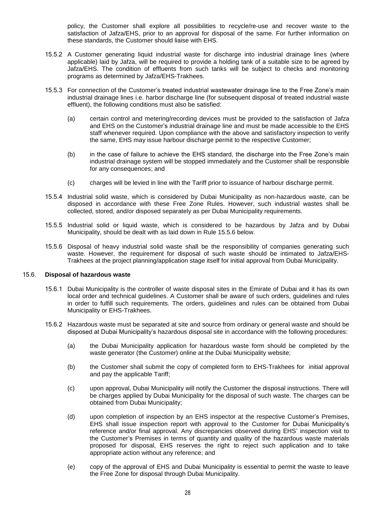policy, the Customer shall explore all possibilities to recycle/re-use and recover waste to the satisfaction of Jafza/EHS, prior to an approval for disposal of the same. For further information on these standards, the Customer should liaise with EHS.

- 15.5.2 A Customer generating liquid industrial waste for discharge into industrial drainage lines (where applicable) laid by Jafza, will be required to provide a holding tank of a suitable size to be agreed by Jafza/EHS. The condition of effluents from such tanks will be subject to checks and monitoring programs as determined by Jafza/EHS-Trakhees.
- 15.5.3 For connection of the Customer's treated industrial wastewater drainage line to the Free Zone's main industrial drainage lines i.e. harbor discharge line (for subsequent disposal of treated industrial waste effluent), the following conditions must also be satisfied:
	- (a) certain control and metering/recording devices must be provided to the satisfaction of Jafza and EHS on the Customer's industrial drainage line and must be made accessible to the EHS staff whenever required. Upon compliance with the above and satisfactory inspection to verify the same, EHS may issue harbour discharge permit to the respective Customer;
	- (b) in the case of failure to achieve the EHS standard, the discharge into the Free Zone's main industrial drainage system will be stopped immediately and the Customer shall be responsible for any consequences; and
	- (c) charges will be levied in line with the Tariff prior to issuance of harbour discharge permit.
- 15.5.4 Industrial solid waste, which is considered by Dubai Municipality as non-hazardous waste, can be disposed in accordance with these Free Zone Rules. However, such industrial wastes shall be collected, stored, and/or disposed separately as per Dubai Municipality requirements.
- 15.5.5 Industrial solid or liquid waste, which is considered to be hazardous by Jafza and by Dubai Municipality, should be dealt with as laid down in Rule 15.5.6 below.
- 15.5.6 Disposal of heavy industrial solid waste shall be the responsibility of companies generating such waste. However, the requirement for disposal of such waste should be intimated to Jafza/EHS-Trakhees at the project planning/application stage itself for initial approval from Dubai Municipality.

#### 15.6. **Disposal of hazardous waste**

- 15.6.1 Dubai Municipality is the controller of waste disposal sites in the Emirate of Dubai and it has its own local order and technical guidelines. A Customer shall be aware of such orders, guidelines and rules in order to fulfill such requirements. The orders, guidelines and rules can be obtained from Dubai Municipality or EHS-Trakhees.
- 15.6.2 Hazardous waste must be separated at site and source from ordinary or general waste and should be disposed at Dubai Municipality's hazardous disposal site in accordance with the following procedures:
	- (a) the Dubai Municipality application for hazardous waste form should be completed by the waste generator (the Customer) online at the Dubai Municipality website;
	- (b) the Customer shall submit the copy of completed form to EHS-Trakhees for initial approval and pay the applicable Tariff;
	- (c) upon approval, Dubai Municipality will notify the Customer the disposal instructions. There will be charges applied by Dubai Municipality for the disposal of such waste. The charges can be obtained from Dubai Municipality;
	- (d) upon completion of inspection by an EHS inspector at the respective Customer's Premises, EHS shall issue inspection report with approval to the Customer for Dubai Municipality's reference and/or final approval. Any discrepancies observed during EHS' inspection visit to the Customer's Premises in terms of quantity and quality of the hazardous waste materials proposed for disposal, EHS reserves the right to reject such application and to take appropriate action without any reference; and
	- (e) copy of the approval of EHS and Dubai Municipality is essential to permit the waste to leave the Free Zone for disposal through Dubai Municipality.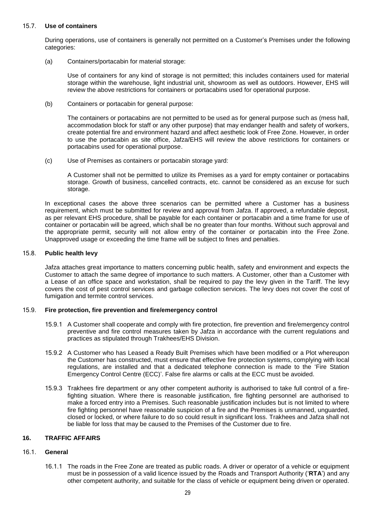# 15.7. **Use of containers**

During operations, use of containers is generally not permitted on a Customer's Premises under the following categories:

(a) Containers/portacabin for material storage:

Use of containers for any kind of storage is not permitted; this includes containers used for material storage within the warehouse, light industrial unit, showroom as well as outdoors. However, EHS will review the above restrictions for containers or portacabins used for operational purpose.

(b) Containers or portacabin for general purpose:

The containers or portacabins are not permitted to be used as for general purpose such as (mess hall, accommodation block for staff or any other purpose) that may endanger health and safety of workers, create potential fire and environment hazard and affect aesthetic look of Free Zone. However, in order to use the portacabin as site office, Jafza/EHS will review the above restrictions for containers or portacabins used for operational purpose.

(c) Use of Premises as containers or portacabin storage yard:

A Customer shall not be permitted to utilize its Premises as a yard for empty container or portacabins storage. Growth of business, cancelled contracts, etc. cannot be considered as an excuse for such storage.

In exceptional cases the above three scenarios can be permitted where a Customer has a business requirement, which must be submitted for review and approval from Jafza. If approved, a refundable deposit, as per relevant EHS procedure, shall be payable for each container or portacabin and a time frame for use of container or portacabin will be agreed, which shall be no greater than four months. Without such approval and the appropriate permit, security will not allow entry of the container or portacabin into the Free Zone. Unapproved usage or exceeding the time frame will be subject to fines and penalties.

# 15.8. **Public health levy**

Jafza attaches great importance to matters concerning public health, safety and environment and expects the Customer to attach the same degree of importance to such matters. A Customer, other than a Customer with a Lease of an office space and workstation, shall be required to pay the levy given in the Tariff. The levy covers the cost of pest control services and garbage collection services. The levy does not cover the cost of fumigation and termite control services.

#### 15.9. **Fire protection, fire prevention and fire/emergency control**

- 15.9.1 A Customer shall cooperate and comply with fire protection, fire prevention and fire/emergency control preventive and fire control measures taken by Jafza in accordance with the current regulations and practices as stipulated through Trakhees/EHS Division.
- 15.9.2 A Customer who has Leased a Ready Built Premises which have been modified or a Plot whereupon the Customer has constructed, must ensure that effective fire protection systems, complying with local regulations, are installed and that a dedicated telephone connection is made to the 'Fire Station Emergency Control Centre (ECC)'. False fire alarms or calls at the ECC must be avoided.
- 15.9.3 Trakhees fire department or any other competent authority is authorised to take full control of a firefighting situation. Where there is reasonable justification, fire fighting personnel are authorised to make a forced entry into a Premises. Such reasonable justification includes but is not limited to where fire fighting personnel have reasonable suspicion of a fire and the Premises is unmanned, unguarded, closed or locked, or where failure to do so could result in significant loss. Trakhees and Jafza shall not be liable for loss that may be caused to the Premises of the Customer due to fire.

# **16. TRAFFIC AFFAIRS**

# 16.1. **General**

16.1.1 The roads in the Free Zone are treated as public roads. A driver or operator of a vehicle or equipment must be in possession of a valid licence issued by the Roads and Transport Authority ('**RTA**') and any other competent authority, and suitable for the class of vehicle or equipment being driven or operated.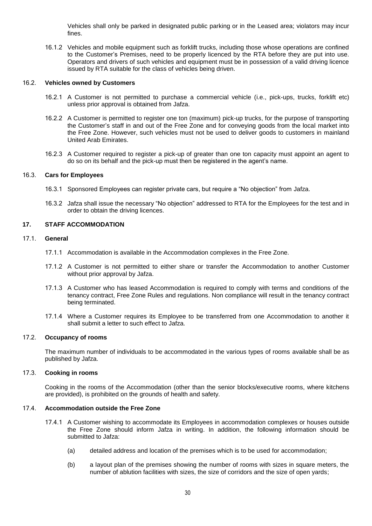Vehicles shall only be parked in designated public parking or in the Leased area; violators may incur fines.

16.1.2 Vehicles and mobile equipment such as forklift trucks, including those whose operations are confined to the Customer's Premises, need to be properly licenced by the RTA before they are put into use. Operators and drivers of such vehicles and equipment must be in possession of a valid driving licence issued by RTA suitable for the class of vehicles being driven.

## 16.2. **Vehicles owned by Customers**

- 16.2.1 A Customer is not permitted to purchase a commercial vehicle (i.e., pick-ups, trucks, forklift etc) unless prior approval is obtained from Jafza.
- 16.2.2 A Customer is permitted to register one ton (maximum) pick-up trucks, for the purpose of transporting the Customer's staff in and out of the Free Zone and for conveying goods from the local market into the Free Zone. However, such vehicles must not be used to deliver goods to customers in mainland United Arab Emirates.
- 16.2.3 A Customer required to register a pick-up of greater than one ton capacity must appoint an agent to do so on its behalf and the pick-up must then be registered in the agent's name.

#### 16.3. **Cars for Employees**

- 16.3.1 Sponsored Employees can register private cars, but require a "No objection" from Jafza.
- 16.3.2 Jafza shall issue the necessary "No objection" addressed to RTA for the Employees for the test and in order to obtain the driving licences.

# **17. STAFF ACCOMMODATION**

#### 17.1. **General**

- 17.1.1 Accommodation is available in the Accommodation complexes in the Free Zone.
- 17.1.2 A Customer is not permitted to either share or transfer the Accommodation to another Customer without prior approval by Jafza.
- 17.1.3 A Customer who has leased Accommodation is required to comply with terms and conditions of the tenancy contract, Free Zone Rules and regulations. Non compliance will result in the tenancy contract being terminated.
- 17.1.4 Where a Customer requires its Employee to be transferred from one Accommodation to another it shall submit a letter to such effect to Jafza.

#### 17.2. **Occupancy of rooms**

The maximum number of individuals to be accommodated in the various types of rooms available shall be as published by Jafza.

# 17.3. **Cooking in rooms**

Cooking in the rooms of the Accommodation (other than the senior blocks/executive rooms, where kitchens are provided), is prohibited on the grounds of health and safety.

# 17.4. **Accommodation outside the Free Zone**

- 17.4.1 A Customer wishing to accommodate its Employees in accommodation complexes or houses outside the Free Zone should inform Jafza in writing. In addition, the following information should be submitted to Jafza:
	- (a) detailed address and location of the premises which is to be used for accommodation;
	- (b) a layout plan of the premises showing the number of rooms with sizes in square meters, the number of ablution facilities with sizes, the size of corridors and the size of open yards;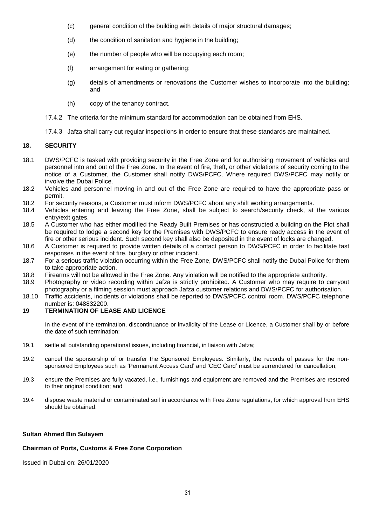- (c) general condition of the building with details of major structural damages;
- (d) the condition of sanitation and hygiene in the building;
- (e) the number of people who will be occupying each room;
- (f) arrangement for eating or gathering;
- (g) details of amendments or renovations the Customer wishes to incorporate into the building; and
- (h) copy of the tenancy contract.
- 17.4.2 The criteria for the minimum standard for accommodation can be obtained from EHS.
- 17.4.3 Jafza shall carry out regular inspections in order to ensure that these standards are maintained.

# **18. SECURITY**

- 18.1 DWS/PCFC is tasked with providing security in the Free Zone and for authorising movement of vehicles and personnel into and out of the Free Zone. In the event of fire, theft, or other violations of security coming to the notice of a Customer, the Customer shall notify DWS/PCFC. Where required DWS/PCFC may notify or involve the Dubai Police.
- 18.2 Vehicles and personnel moving in and out of the Free Zone are required to have the appropriate pass or permit.
- 18.2 For security reasons, a Customer must inform DWS/PCFC about any shift working arrangements.
- 18.4 Vehicles entering and leaving the Free Zone, shall be subject to search/security check, at the various entry/exit gates.
- 18.5 A Customer who has either modified the Ready Built Premises or has constructed a building on the Plot shall be required to lodge a second key for the Premises with DWS/PCFC to ensure ready access in the event of fire or other serious incident. Such second key shall also be deposited in the event of locks are changed.
- 18.6 A Customer is required to provide written details of a contact person to DWS/PCFC in order to facilitate fast responses in the event of fire, burglary or other incident.
- 18.7 For a serious traffic violation occurring within the Free Zone, DWS/PCFC shall notify the Dubai Police for them to take appropriate action.
- 18.8 Firearms will not be allowed in the Free Zone. Any violation will be notified to the appropriate authority.
- 18.9 Photography or video recording within Jafza is strictly prohibited. A Customer who may require to carryout photography or a filming session must approach Jafza customer relations and DWS/PCFC for authorisation.
- 18.10 Traffic accidents, incidents or violations shall be reported to DWS/PCFC control room. DWS/PCFC telephone number is: 048832200.

# **19 TERMINATION OF LEASE AND LICENCE**

In the event of the termination, discontinuance or invalidity of the Lease or Licence, a Customer shall by or before the date of such termination:

- 19.1 settle all outstanding operational issues, including financial, in liaison with Jafza;
- 19.2 cancel the sponsorship of or transfer the Sponsored Employees. Similarly, the records of passes for the nonsponsored Employees such as 'Permanent Access Card' and 'CEC Card' must be surrendered for cancellation;
- 19.3 ensure the Premises are fully vacated, i.e., furnishings and equipment are removed and the Premises are restored to their original condition; and
- 19.4 dispose waste material or contaminated soil in accordance with Free Zone regulations, for which approval from EHS should be obtained.

#### **Sultan Ahmed Bin Sulayem**

#### **Chairman of Ports, Customs & Free Zone Corporation**

Issued in Dubai on: 26/01/2020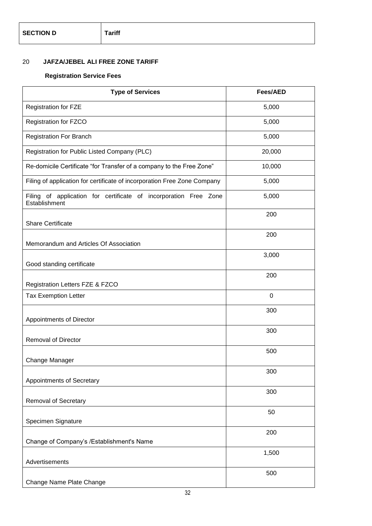# 20 **JAFZA/JEBEL ALI FREE ZONE TARIFF**

# **Registration Service Fees**

| <b>Type of Services</b>                                                           | <b>Fees/AED</b> |
|-----------------------------------------------------------------------------------|-----------------|
| <b>Registration for FZE</b>                                                       | 5,000           |
| Registration for FZCO                                                             | 5,000           |
| <b>Registration For Branch</b>                                                    | 5,000           |
| Registration for Public Listed Company (PLC)                                      | 20,000          |
| Re-domicile Certificate "for Transfer of a company to the Free Zone"              | 10,000          |
| Filing of application for certificate of incorporation Free Zone Company          | 5,000           |
| Filing of application for certificate of incorporation Free Zone<br>Establishment | 5,000           |
| <b>Share Certificate</b>                                                          | 200             |
| Memorandum and Articles Of Association                                            | 200             |
| Good standing certificate                                                         | 3,000           |
| Registration Letters FZE & FZCO                                                   | 200             |
| <b>Tax Exemption Letter</b>                                                       | $\mathbf 0$     |
| Appointments of Director                                                          | 300             |
| <b>Removal of Director</b>                                                        | 300             |
| Change Manager                                                                    | 500             |
| Appointments of Secretary                                                         | 300             |
| <b>Removal of Secretary</b>                                                       | 300             |
| Specimen Signature                                                                | 50              |
| Change of Company's /Establishment's Name                                         | 200             |
| Advertisements                                                                    | 1,500           |
| Change Name Plate Change                                                          | 500             |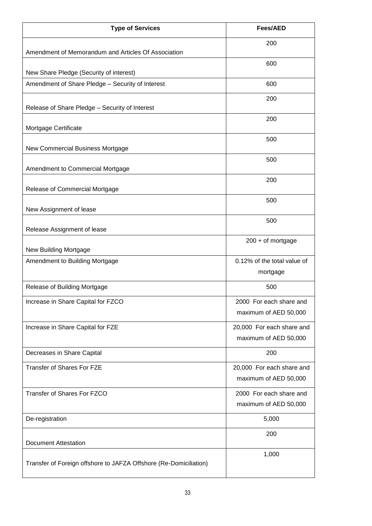| <b>Type of Services</b>                                           | <b>Fees/AED</b>                                    |
|-------------------------------------------------------------------|----------------------------------------------------|
| Amendment of Memorandum and Articles Of Association               | 200                                                |
| New Share Pledge (Security of interest)                           | 600                                                |
| Amendment of Share Pledge - Security of Interest                  | 600                                                |
| Release of Share Pledge - Security of Interest                    | 200                                                |
| Mortgage Certificate                                              | 200                                                |
| New Commercial Business Mortgage                                  | 500                                                |
| Amendment to Commercial Mortgage                                  | 500                                                |
| Release of Commercial Mortgage                                    | 200                                                |
| New Assignment of lease                                           | 500                                                |
| Release Assignment of lease                                       | 500                                                |
| New Building Mortgage                                             | $200 + of mortgage$                                |
| Amendment to Building Mortgage                                    | 0.12% of the total value of<br>mortgage            |
| Release of Building Mortgage                                      | 500                                                |
| Increase in Share Capital for FZCO                                | 2000 For each share and<br>maximum of AED 50,000   |
| Increase in Share Capital for FZE                                 | 20,000 For each share and<br>maximum of AED 50,000 |
| Decreases in Share Capital                                        | 200                                                |
| <b>Transfer of Shares For FZE</b>                                 | 20,000 For each share and<br>maximum of AED 50,000 |
| Transfer of Shares For FZCO                                       | 2000 For each share and<br>maximum of AED 50,000   |
| De-registration                                                   | 5,000                                              |
| <b>Document Attestation</b>                                       | 200                                                |
| Transfer of Foreign offshore to JAFZA Offshore (Re-Domiciliation) | 1,000                                              |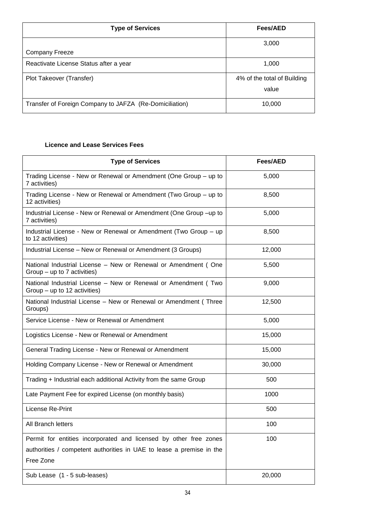| <b>Type of Services</b>                                 | Fees/AED                    |
|---------------------------------------------------------|-----------------------------|
|                                                         | 3,000                       |
| <b>Company Freeze</b>                                   |                             |
| Reactivate License Status after a year                  | 1,000                       |
| Plot Takeover (Transfer)                                | 4% of the total of Building |
|                                                         | value                       |
| Transfer of Foreign Company to JAFZA (Re-Domiciliation) | 10,000                      |

# **Licence and Lease Services Fees**

| <b>Type of Services</b>                                                                         | <b>Fees/AED</b> |
|-------------------------------------------------------------------------------------------------|-----------------|
| Trading License - New or Renewal or Amendment (One Group – up to<br>7 activities)               | 5,000           |
| Trading License - New or Renewal or Amendment (Two Group – up to<br>12 activities)              | 8,500           |
| Industrial License - New or Renewal or Amendment (One Group -up to<br>7 activities)             | 5,000           |
| Industrial License - New or Renewal or Amendment (Two Group – up<br>to 12 activities)           | 8,500           |
| Industrial License - New or Renewal or Amendment (3 Groups)                                     | 12,000          |
| National Industrial License - New or Renewal or Amendment (One<br>Group $-$ up to 7 activities) | 5,500           |
| National Industrial License - New or Renewal or Amendment (Two<br>Group – up to 12 activities)  | 9,000           |
| National Industrial License - New or Renewal or Amendment (Three<br>Groups)                     | 12,500          |
| Service License - New or Renewal or Amendment                                                   | 5,000           |
| Logistics License - New or Renewal or Amendment                                                 | 15,000          |
| General Trading License - New or Renewal or Amendment                                           | 15,000          |
| Holding Company License - New or Renewal or Amendment                                           | 30,000          |
| Trading + Industrial each additional Activity from the same Group                               | 500             |
| Late Payment Fee for expired License (on monthly basis)                                         | 1000            |
| License Re-Print                                                                                | 500             |
| <b>All Branch letters</b>                                                                       | 100             |
| Permit for entities incorporated and licensed by other free zones                               | 100             |
| authorities / competent authorities in UAE to lease a premise in the<br>Free Zone               |                 |
| Sub Lease (1 - 5 sub-leases)                                                                    | 20,000          |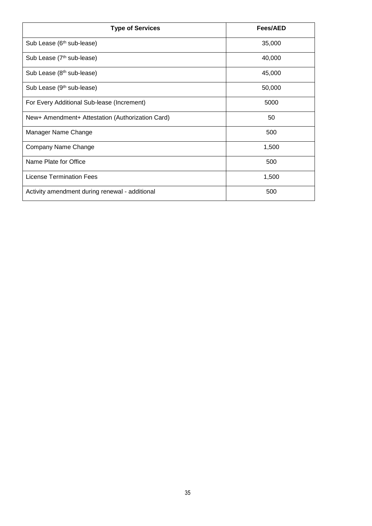| <b>Type of Services</b>                          | Fees/AED |
|--------------------------------------------------|----------|
| Sub Lease (6 <sup>th</sup> sub-lease)            | 35,000   |
| Sub Lease (7 <sup>th</sup> sub-lease)            | 40,000   |
| Sub Lease (8 <sup>th</sup> sub-lease)            | 45,000   |
| Sub Lease (9 <sup>th</sup> sub-lease)            | 50,000   |
| For Every Additional Sub-lease (Increment)       | 5000     |
| New+ Amendment+ Attestation (Authorization Card) | 50       |
| Manager Name Change                              | 500      |
| Company Name Change                              | 1,500    |
| Name Plate for Office                            | 500      |
| <b>License Termination Fees</b>                  | 1,500    |
| Activity amendment during renewal - additional   | 500      |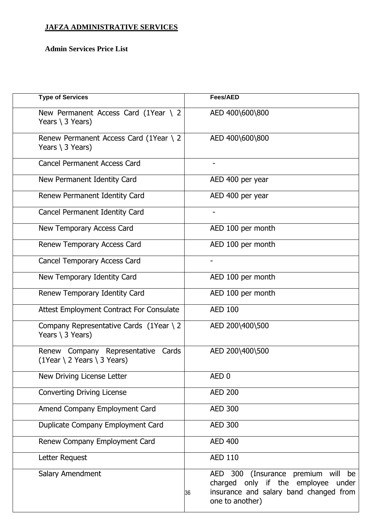# **JAFZA ADMINISTRATIVE SERVICES**

# **Admin Services Price List**

| <b>Type of Services</b>                                                     | <b>Fees/AED</b>                                                                                                                                                |
|-----------------------------------------------------------------------------|----------------------------------------------------------------------------------------------------------------------------------------------------------------|
| New Permanent Access Card (1Year $\backslash$ 2<br>Years $\langle$ 3 Years) | AED 400\600\800                                                                                                                                                |
| Renew Permanent Access Card (1Year \ 2<br>Years $\langle$ 3 Years)          | AED 400\600\800                                                                                                                                                |
| <b>Cancel Permanent Access Card</b>                                         | $\overline{\phantom{a}}$                                                                                                                                       |
| New Permanent Identity Card                                                 | AED 400 per year                                                                                                                                               |
| Renew Permanent Identity Card                                               | AED 400 per year                                                                                                                                               |
| Cancel Permanent Identity Card                                              |                                                                                                                                                                |
| New Temporary Access Card                                                   | AED 100 per month                                                                                                                                              |
| Renew Temporary Access Card                                                 | AED 100 per month                                                                                                                                              |
| Cancel Temporary Access Card                                                | -                                                                                                                                                              |
| New Temporary Identity Card                                                 | AED 100 per month                                                                                                                                              |
| Renew Temporary Identity Card                                               | AED 100 per month                                                                                                                                              |
| <b>Attest Employment Contract For Consulate</b>                             | <b>AED 100</b>                                                                                                                                                 |
| Company Representative Cards (1Year \ 2)<br>Years \ 3 Years)                | AED 200\400\500                                                                                                                                                |
| Renew Company Representative Cards<br>$(1Year \ 2 Years \ 3 Years)$         | AED 200\400\500                                                                                                                                                |
| New Driving License Letter                                                  | AED <sub>0</sub>                                                                                                                                               |
| <b>Converting Driving License</b>                                           | <b>AED 200</b>                                                                                                                                                 |
| Amend Company Employment Card                                               | <b>AED 300</b>                                                                                                                                                 |
| Duplicate Company Employment Card                                           | <b>AED 300</b>                                                                                                                                                 |
| Renew Company Employment Card                                               | <b>AED 400</b>                                                                                                                                                 |
| Letter Request                                                              | <b>AED 110</b>                                                                                                                                                 |
| Salary Amendment                                                            | (Insurance premium will<br>300<br><b>AED</b><br>be<br>charged only if the employee<br>under<br>insurance and salary band changed from<br>36<br>one to another) |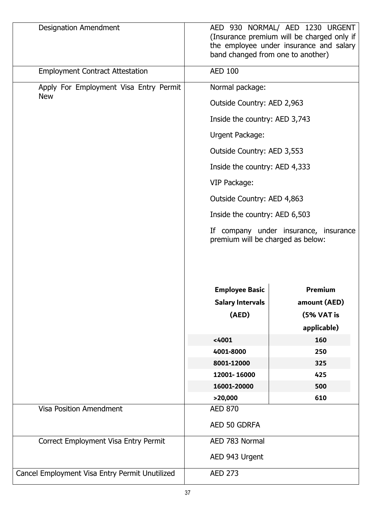| <b>Designation Amendment</b>                   | AED 930 NORMAL/ AED 1230 URGENT<br>(Insurance premium will be charged only if<br>the employee under insurance and salary<br>band changed from one to another) |                                       |
|------------------------------------------------|---------------------------------------------------------------------------------------------------------------------------------------------------------------|---------------------------------------|
| <b>Employment Contract Attestation</b>         | <b>AED 100</b>                                                                                                                                                |                                       |
| Apply For Employment Visa Entry Permit         | Normal package:                                                                                                                                               |                                       |
| <b>New</b>                                     | Outside Country: AED 2,963                                                                                                                                    |                                       |
|                                                | Inside the country: AED 3,743                                                                                                                                 |                                       |
|                                                | Urgent Package:                                                                                                                                               |                                       |
|                                                | Outside Country: AED 3,553                                                                                                                                    |                                       |
|                                                | Inside the country: AED 4,333                                                                                                                                 |                                       |
|                                                | VIP Package:                                                                                                                                                  |                                       |
|                                                | Outside Country: AED 4,863                                                                                                                                    |                                       |
|                                                | Inside the country: AED 6,503                                                                                                                                 |                                       |
|                                                | premium will be charged as below:                                                                                                                             | If company under insurance, insurance |
|                                                | <b>Employee Basic</b>                                                                                                                                         | Premium                               |
|                                                | <b>Salary Intervals</b>                                                                                                                                       | amount (AED)                          |
|                                                | (AED)                                                                                                                                                         | (5% VAT is<br>applicable)             |
|                                                | < 4001                                                                                                                                                        | 160                                   |
|                                                | 4001-8000                                                                                                                                                     | 250                                   |
|                                                | 8001-12000                                                                                                                                                    | 325                                   |
|                                                | 12001-16000                                                                                                                                                   | 425                                   |
|                                                | 16001-20000                                                                                                                                                   | 500                                   |
|                                                | >20,000                                                                                                                                                       | 610                                   |
| <b>Visa Position Amendment</b>                 | <b>AED 870</b>                                                                                                                                                |                                       |
|                                                | AED 50 GDRFA                                                                                                                                                  |                                       |
| Correct Employment Visa Entry Permit           | AED 783 Normal                                                                                                                                                |                                       |
|                                                | AED 943 Urgent                                                                                                                                                |                                       |
| Cancel Employment Visa Entry Permit Unutilized | <b>AED 273</b>                                                                                                                                                |                                       |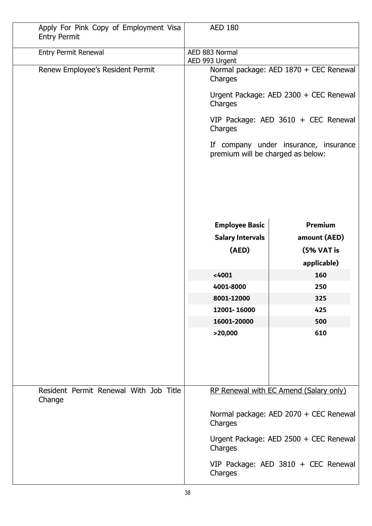| Apply For Pink Copy of Employment Visa<br><b>Entry Permit</b> | <b>AED 180</b>                                    |                                        |
|---------------------------------------------------------------|---------------------------------------------------|----------------------------------------|
| <b>Entry Permit Renewal</b>                                   | AED 883 Normal<br>AED 993 Urgent                  |                                        |
| Renew Employee's Resident Permit                              | Normal package: AED 1870 + CEC Renewal<br>Charges |                                        |
|                                                               | Charges                                           | Urgent Package: AED 2300 + CEC Renewal |
|                                                               | Charges                                           | VIP Package: AED 3610 + CEC Renewal    |
|                                                               | premium will be charged as below:                 | If company under insurance, insurance  |
|                                                               |                                                   |                                        |
|                                                               | <b>Employee Basic</b>                             | <b>Premium</b>                         |
|                                                               | <b>Salary Intervals</b>                           | amount (AED)                           |
|                                                               | (AED)                                             | (5% VAT is                             |
|                                                               |                                                   | applicable)                            |
|                                                               | < 4001                                            | 160                                    |
|                                                               | 4001-8000                                         | 250                                    |
|                                                               | 8001-12000                                        | 325                                    |
|                                                               | 12001-16000                                       | 425                                    |
|                                                               | 16001-20000                                       | 500                                    |
|                                                               | >20,000                                           | 610                                    |
| Resident Permit Renewal With Job Title<br>Change              |                                                   | RP Renewal with EC Amend (Salary only) |
|                                                               | Charges                                           | Normal package: AED 2070 + CEC Renewal |
|                                                               | Charges                                           | Urgent Package: AED 2500 + CEC Renewal |
|                                                               | Charges                                           | VIP Package: AED 3810 + CEC Renewal    |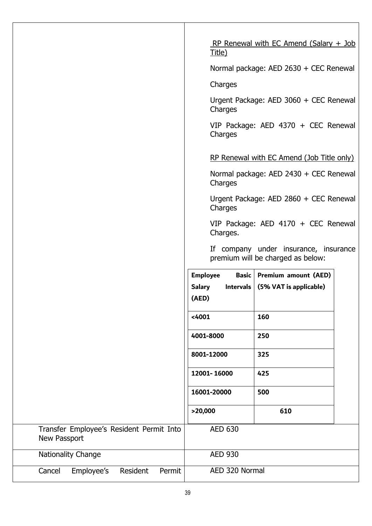|                                                          | RP Renewal with EC Amend (Salary $+$ Job<br>Title)                         |  |
|----------------------------------------------------------|----------------------------------------------------------------------------|--|
|                                                          | Normal package: AED 2630 + CEC Renewal                                     |  |
|                                                          | Charges                                                                    |  |
|                                                          | Urgent Package: AED 3060 + CEC Renewal<br>Charges                          |  |
|                                                          | VIP Package: AED 4370 + CEC Renewal<br>Charges                             |  |
|                                                          | RP Renewal with EC Amend (Job Title only)                                  |  |
|                                                          | Normal package: AED 2430 + CEC Renewal<br>Charges                          |  |
|                                                          | Urgent Package: AED 2860 + CEC Renewal<br>Charges                          |  |
|                                                          | VIP Package: AED 4170 + CEC Renewal<br>Charges.                            |  |
|                                                          | If company under insurance, insurance<br>premium will be charged as below: |  |
|                                                          | Premium amount (AED)<br><b>Employee</b><br><b>Basic</b>                    |  |
|                                                          | <b>Salary</b><br>Intervals $(5\% \text{ VAT} \text{ is applicable})$       |  |
|                                                          | (AED)                                                                      |  |
|                                                          | < 4001<br>160                                                              |  |
|                                                          | 4001-8000<br>250                                                           |  |
|                                                          | 8001-12000<br>325                                                          |  |
|                                                          | 12001-16000<br>425                                                         |  |
|                                                          | 16001-20000<br>500                                                         |  |
|                                                          | >20,000<br>610                                                             |  |
| Transfer Employee's Resident Permit Into<br>New Passport | <b>AED 630</b>                                                             |  |
| Nationality Change                                       | <b>AED 930</b>                                                             |  |
| Employee's<br>Cancel<br>Resident<br>Permit               | AED 320 Normal                                                             |  |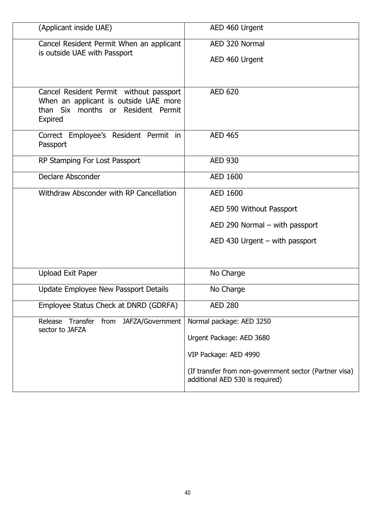| (Applicant inside UAE)                                                                                                            | AED 460 Urgent                                                                            |
|-----------------------------------------------------------------------------------------------------------------------------------|-------------------------------------------------------------------------------------------|
| Cancel Resident Permit When an applicant                                                                                          | AED 320 Normal                                                                            |
| is outside UAE with Passport                                                                                                      | AED 460 Urgent                                                                            |
|                                                                                                                                   |                                                                                           |
| Cancel Resident Permit without passport<br>When an applicant is outside UAE more<br>than Six months or Resident Permit<br>Expired | <b>AED 620</b>                                                                            |
| Correct Employee's Resident Permit in<br>Passport                                                                                 | <b>AED 465</b>                                                                            |
| RP Stamping For Lost Passport                                                                                                     | <b>AED 930</b>                                                                            |
| Declare Absconder                                                                                                                 | <b>AED 1600</b>                                                                           |
| Withdraw Absconder with RP Cancellation                                                                                           | <b>AED 1600</b>                                                                           |
|                                                                                                                                   | AED 590 Without Passport                                                                  |
|                                                                                                                                   | $AED$ 290 Normal – with passport                                                          |
|                                                                                                                                   | $AED$ 430 Urgent – with passport                                                          |
|                                                                                                                                   |                                                                                           |
| <b>Upload Exit Paper</b>                                                                                                          | No Charge                                                                                 |
| Update Employee New Passport Details                                                                                              | No Charge                                                                                 |
| Employee Status Check at DNRD (GDRFA)                                                                                             | <b>AED 280</b>                                                                            |
| JAFZA/Government<br>Release Transfer from<br>sector to JAFZA                                                                      | Normal package: AED 3250                                                                  |
|                                                                                                                                   | Urgent Package: AED 3680                                                                  |
|                                                                                                                                   | VIP Package: AED 4990                                                                     |
|                                                                                                                                   | (If transfer from non-government sector (Partner visa)<br>additional AED 530 is required) |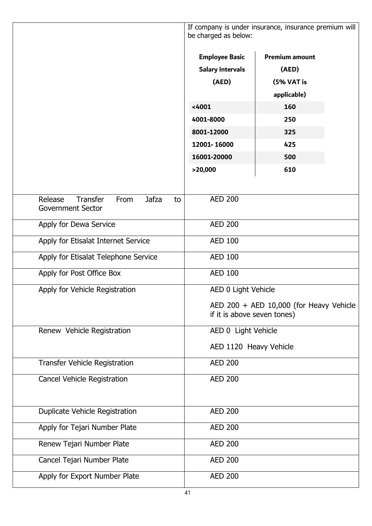|                                                                                      | If company is under insurance, insurance premium will<br>be charged as below: |             |
|--------------------------------------------------------------------------------------|-------------------------------------------------------------------------------|-------------|
|                                                                                      | <b>Employee Basic</b><br><b>Premium amount</b>                                |             |
|                                                                                      | <b>Salary Intervals</b>                                                       | (AED)       |
|                                                                                      | (AED)                                                                         | (5% VAT is  |
|                                                                                      |                                                                               | applicable) |
|                                                                                      | < 4001                                                                        | 160         |
|                                                                                      | 4001-8000                                                                     | 250         |
|                                                                                      | 8001-12000                                                                    | 325         |
|                                                                                      | 12001-16000                                                                   | 425         |
|                                                                                      | 16001-20000                                                                   | 500         |
|                                                                                      | >20,000                                                                       | 610         |
|                                                                                      |                                                                               |             |
| Release<br><b>Transfer</b><br><b>Jafza</b><br>From<br>to<br><b>Government Sector</b> | <b>AED 200</b>                                                                |             |
| Apply for Dewa Service                                                               | <b>AED 200</b>                                                                |             |
| Apply for Etisalat Internet Service                                                  | <b>AED 100</b>                                                                |             |
| Apply for Etisalat Telephone Service                                                 | <b>AED 100</b>                                                                |             |
| Apply for Post Office Box                                                            | <b>AED 100</b>                                                                |             |
| Apply for Vehicle Registration                                                       | AED 0 Light Vehicle                                                           |             |
|                                                                                      | AED 200 + AED 10,000 (for Heavy Vehicle<br>if it is above seven tones)        |             |
| Renew Vehicle Registration                                                           | AED 0 Light Vehicle                                                           |             |
|                                                                                      | AED 1120 Heavy Vehicle                                                        |             |
| <b>Transfer Vehicle Registration</b>                                                 | <b>AED 200</b>                                                                |             |
| Cancel Vehicle Registration                                                          | <b>AED 200</b>                                                                |             |
| Duplicate Vehicle Registration                                                       | <b>AED 200</b>                                                                |             |
| Apply for Tejari Number Plate                                                        | <b>AED 200</b>                                                                |             |
| Renew Tejari Number Plate                                                            | <b>AED 200</b>                                                                |             |
| Cancel Tejari Number Plate                                                           | <b>AED 200</b>                                                                |             |
| Apply for Export Number Plate                                                        | <b>AED 200</b>                                                                |             |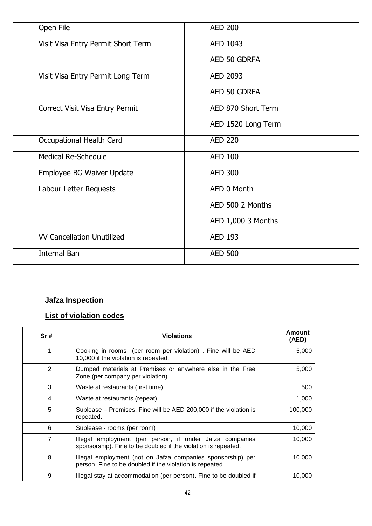| Open File                          | <b>AED 200</b>     |
|------------------------------------|--------------------|
| Visit Visa Entry Permit Short Term | AED 1043           |
|                                    | AED 50 GDRFA       |
| Visit Visa Entry Permit Long Term  | AED 2093           |
|                                    | AED 50 GDRFA       |
| Correct Visit Visa Entry Permit    | AED 870 Short Term |
|                                    | AED 1520 Long Term |
| Occupational Health Card           | <b>AED 220</b>     |
| <b>Medical Re-Schedule</b>         | <b>AED 100</b>     |
| Employee BG Waiver Update          | <b>AED 300</b>     |
| Labour Letter Requests             | AED 0 Month        |
|                                    | AED 500 2 Months   |
|                                    | AED 1,000 3 Months |
| <b>VV Cancellation Unutilized</b>  | <b>AED 193</b>     |
| <b>Internal Ban</b>                | <b>AED 500</b>     |
|                                    |                    |

# **Jafza Inspection**

# **List of violation codes**

| Sr#            | <b>Violations</b>                                                                                                          | Amount<br>(AED) |
|----------------|----------------------------------------------------------------------------------------------------------------------------|-----------------|
| 1              | Cooking in rooms (per room per violation). Fine will be AED<br>10,000 if the violation is repeated.                        | 5,000           |
| 2              | Dumped materials at Premises or anywhere else in the Free<br>Zone (per company per violation)                              | 5,000           |
| 3              | Waste at restaurants (first time)                                                                                          | 500             |
| 4              | Waste at restaurants (repeat)                                                                                              | 1,000           |
| 5              | Sublease – Premises. Fine will be AED 200,000 if the violation is<br>repeated.                                             | 100,000         |
| 6              | Sublease - rooms (per room)                                                                                                | 10,000          |
| $\overline{7}$ | Illegal employment (per person, if under Jafza companies<br>sponsorship). Fine to be doubled if the violation is repeated. | 10,000          |
| 8              | Illegal employment (not on Jafza companies sponsorship) per<br>person. Fine to be doubled if the violation is repeated.    | 10,000          |
| 9              | Illegal stay at accommodation (per person). Fine to be doubled if                                                          | 10,000          |